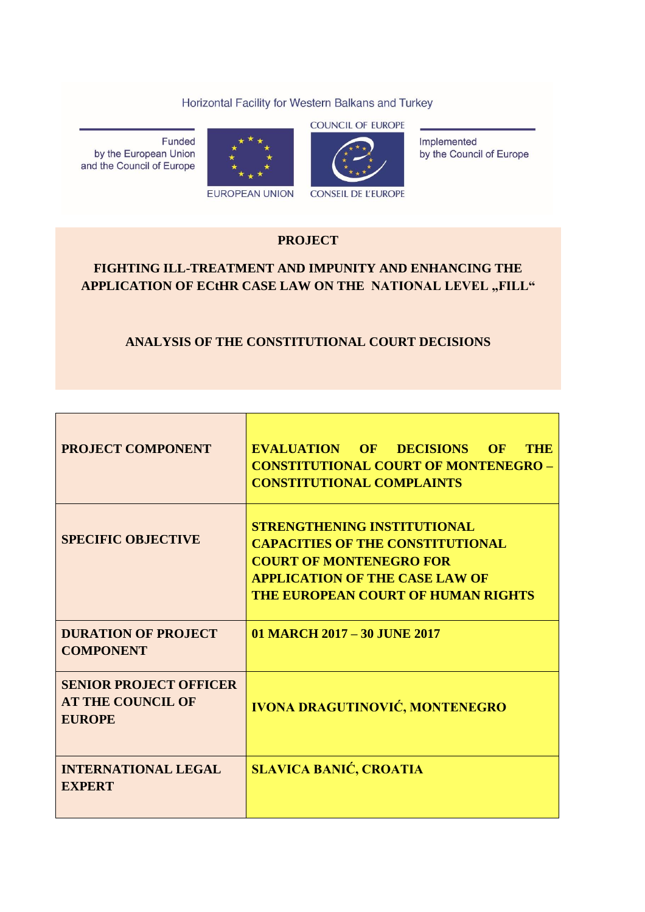#### Horizontal Facility for Western Balkans and Turkey

Funded by the European Union and the Council of Europe





**CONSEIL DE L'EUROPE** 

Implemented by the Council of Europe

### **PROJECT**

# **FIGHTING ILL-TREATMENT AND IMPUNITY AND ENHANCING THE**  APPLICATION OF ECTHR CASE LAW ON THE NATIONAL LEVEL "FILL"

# **ANALYSIS OF THE CONSTITUTIONAL COURT DECISIONS**

| <b>PROJECT COMPONENT</b>                                                   | <b>EVALUATION OF DECISIONS OF</b><br><b>THE</b><br><b>CONSTITUTIONAL COURT OF MONTENEGRO -</b><br><b>CONSTITUTIONAL COMPLAINTS</b>                                                             |
|----------------------------------------------------------------------------|------------------------------------------------------------------------------------------------------------------------------------------------------------------------------------------------|
| <b>SPECIFIC OBJECTIVE</b>                                                  | <b>STRENGTHENING INSTITUTIONAL</b><br><b>CAPACITIES OF THE CONSTITUTIONAL</b><br><b>COURT OF MONTENEGRO FOR</b><br><b>APPLICATION OF THE CASE LAW OF</b><br>THE EUROPEAN COURT OF HUMAN RIGHTS |
| <b>DURATION OF PROJECT</b><br><b>COMPONENT</b>                             | 01 MARCH 2017 - 30 JUNE 2017                                                                                                                                                                   |
| <b>SENIOR PROJECT OFFICER</b><br><b>AT THE COUNCIL OF</b><br><b>EUROPE</b> | <b>IVONA DRAGUTINOVIĆ, MONTENEGRO</b>                                                                                                                                                          |
| <b>INTERNATIONAL LEGAL</b><br><b>EXPERT</b>                                | <b>SLAVICA BANIĆ, CROATIA</b>                                                                                                                                                                  |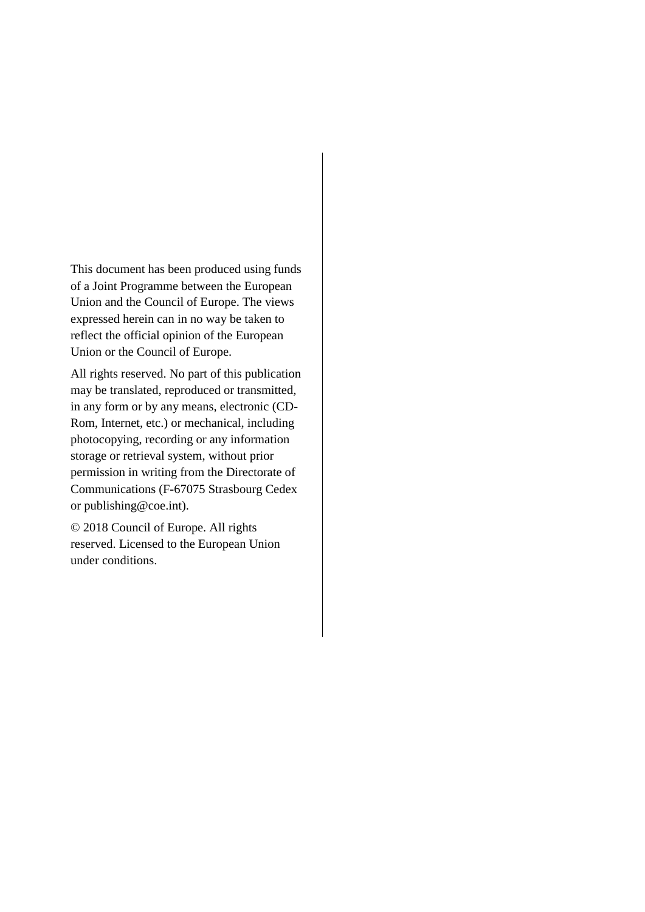This document has been produced using funds of a Joint Programme between the European Union and the Council of Europe. The views expressed herein can in no way be taken to reflect the official opinion of the European Union or the Council of Europe.

All rights reserved. No part of this publication may be translated, reproduced or transmitted, in any form or by any means, electronic (CD-Rom, Internet, etc.) or mechanical, including photocopying, recording or any information storage or retrieval system, without prior permission in writing from the Directorate of Communications (F-67075 Strasbourg Cedex or [publishing@coe.int\)](mailto:publishing@coe.int).

© 2018 Council of Europe. All rights reserved. Licensed to the European Union under conditions.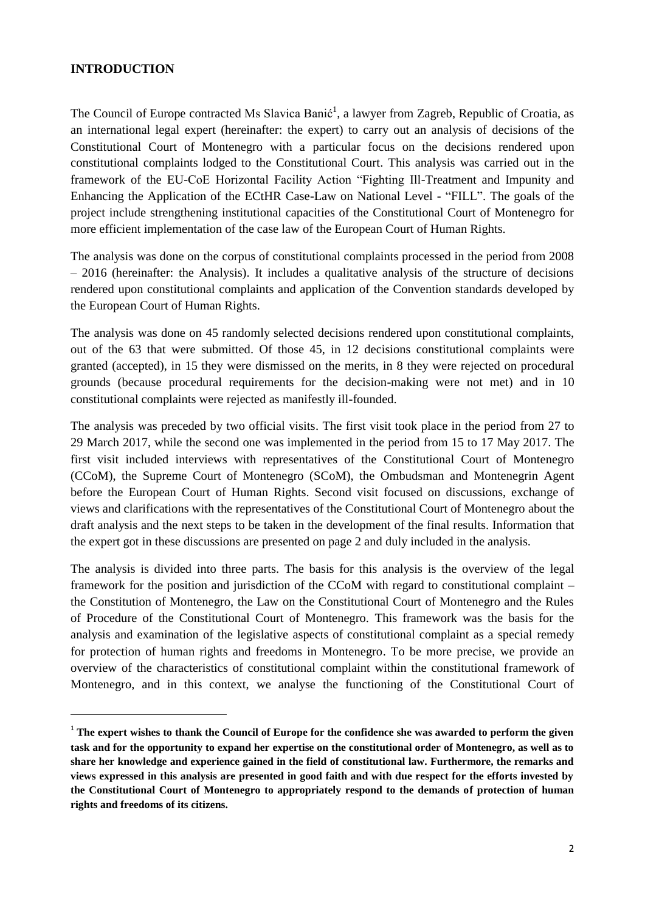#### **INTRODUCTION**

 $\overline{a}$ 

The Council of Europe contracted Ms Slavica Banić<sup>1</sup>, a lawyer from Zagreb, Republic of Croatia, as an international legal expert (hereinafter: the expert) to carry out an analysis of decisions of the Constitutional Court of Montenegro with a particular focus on the decisions rendered upon constitutional complaints lodged to the Constitutional Court. This analysis was carried out in the framework of the EU-CoE Horizontal Facility Action "Fighting Ill-Treatment and Impunity and Enhancing the Application of the ECtHR Case-Law on National Level - "FILL". The goals of the project include strengthening institutional capacities of the Constitutional Court of Montenegro for more efficient implementation of the case law of the European Court of Human Rights.

The analysis was done on the corpus of constitutional complaints processed in the period from 2008 – 2016 (hereinafter: the Analysis). It includes a qualitative analysis of the structure of decisions rendered upon constitutional complaints and application of the Convention standards developed by the European Court of Human Rights.

The analysis was done on 45 randomly selected decisions rendered upon constitutional complaints, out of the 63 that were submitted. Of those 45, in 12 decisions constitutional complaints were granted (accepted), in 15 they were dismissed on the merits, in 8 they were rejected on procedural grounds (because procedural requirements for the decision-making were not met) and in 10 constitutional complaints were rejected as manifestly ill-founded.

The analysis was preceded by two official visits. The first visit took place in the period from 27 to 29 March 2017, while the second one was implemented in the period from 15 to 17 May 2017. The first visit included interviews with representatives of the Constitutional Court of Montenegro (CCoM), the Supreme Court of Montenegro (SCoM), the Ombudsman and Montenegrin Agent before the European Court of Human Rights. Second visit focused on discussions, exchange of views and clarifications with the representatives of the Constitutional Court of Montenegro about the draft analysis and the next steps to be taken in the development of the final results. Information that the expert got in these discussions are presented on page 2 and duly included in the analysis.

The analysis is divided into three parts. The basis for this analysis is the overview of the legal framework for the position and jurisdiction of the CCoM with regard to constitutional complaint – the Constitution of Montenegro, the Law on the Constitutional Court of Montenegro and the Rules of Procedure of the Constitutional Court of Montenegro. This framework was the basis for the analysis and examination of the legislative aspects of constitutional complaint as a special remedy for protection of human rights and freedoms in Montenegro. To be more precise, we provide an overview of the characteristics of constitutional complaint within the constitutional framework of Montenegro, and in this context, we analyse the functioning of the Constitutional Court of

<sup>&</sup>lt;sup>1</sup> The expert wishes to thank the Council of Europe for the confidence she was awarded to perform the given **task and for the opportunity to expand her expertise on the constitutional order of Montenegro, as well as to share her knowledge and experience gained in the field of constitutional law. Furthermore, the remarks and views expressed in this analysis are presented in good faith and with due respect for the efforts invested by the Constitutional Court of Montenegro to appropriately respond to the demands of protection of human rights and freedoms of its citizens.**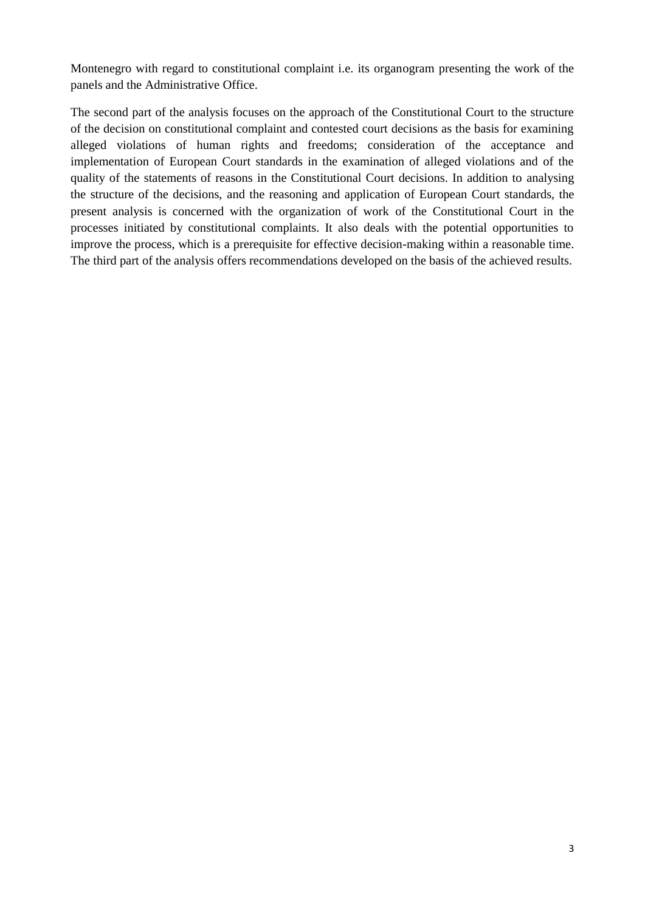Montenegro with regard to constitutional complaint i.e. its organogram presenting the work of the panels and the Administrative Office.

The second part of the analysis focuses on the approach of the Constitutional Court to the structure of the decision on constitutional complaint and contested court decisions as the basis for examining alleged violations of human rights and freedoms; consideration of the acceptance and implementation of European Court standards in the examination of alleged violations and of the quality of the statements of reasons in the Constitutional Court decisions. In addition to analysing the structure of the decisions, and the reasoning and application of European Court standards, the present analysis is concerned with the organization of work of the Constitutional Court in the processes initiated by constitutional complaints. It also deals with the potential opportunities to improve the process, which is a prerequisite for effective decision-making within a reasonable time. The third part of the analysis offers recommendations developed on the basis of the achieved results.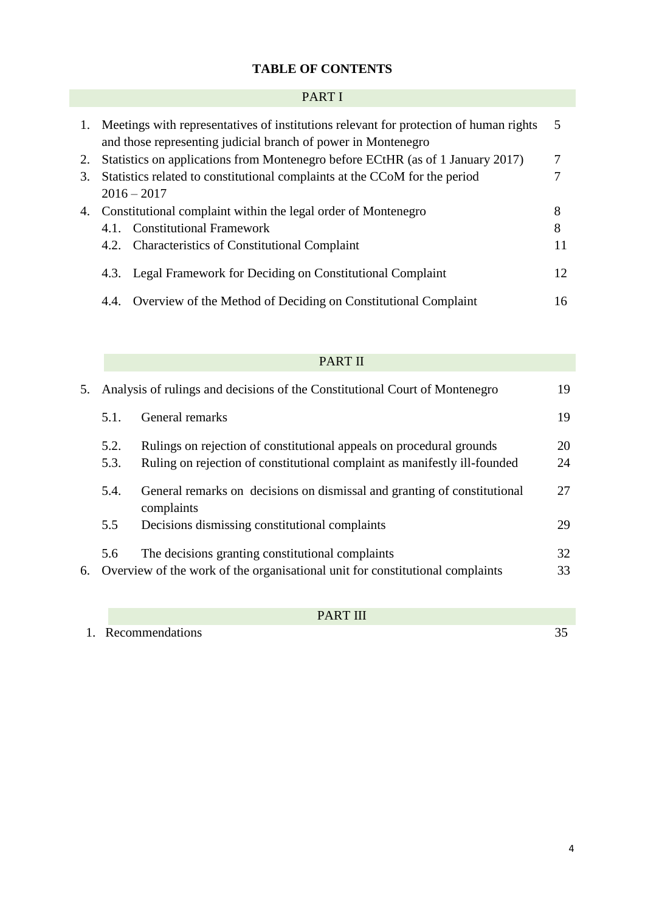# **TABLE OF CONTENTS**

# PART I

|    | 1. Meetings with representatives of institutions relevant for protection of human rights<br>and those representing judicial branch of power in Montenegro | 5  |
|----|-----------------------------------------------------------------------------------------------------------------------------------------------------------|----|
| 2. | Statistics on applications from Montenegro before ECtHR (as of 1 January 2017)                                                                            | 7  |
| 3. | Statistics related to constitutional complaints at the CCoM for the period                                                                                |    |
|    | $2016 - 2017$                                                                                                                                             |    |
|    | 4. Constitutional complaint within the legal order of Montenegro                                                                                          | 8  |
|    | 4.1. Constitutional Framework                                                                                                                             | 8  |
|    | 4.2. Characteristics of Constitutional Complaint                                                                                                          | 11 |
|    | Legal Framework for Deciding on Constitutional Complaint<br>4.3.                                                                                          | 12 |
|    | Overview of the Method of Deciding on Constitutional Complaint<br>4.4.                                                                                    | 16 |

# PART II

| 5. |              | Analysis of rulings and decisions of the Constitutional Court of Montenegro                                                                       | 19       |
|----|--------------|---------------------------------------------------------------------------------------------------------------------------------------------------|----------|
|    | 5.1.         | General remarks                                                                                                                                   | 19       |
|    | 5.2.<br>5.3. | Rulings on rejection of constitutional appeals on procedural grounds<br>Ruling on rejection of constitutional complaint as manifestly ill-founded | 20<br>24 |
|    | 5.4.         | General remarks on decisions on dismissal and granting of constitutional<br>complaints                                                            | 27       |
|    | 5.5          | Decisions dismissing constitutional complaints                                                                                                    | 29       |
| 6. | 5.6          | The decisions granting constitutional complaints<br>Overview of the work of the organisational unit for constitutional complaints                 | 32<br>33 |

# PART III

1. Recommendations 35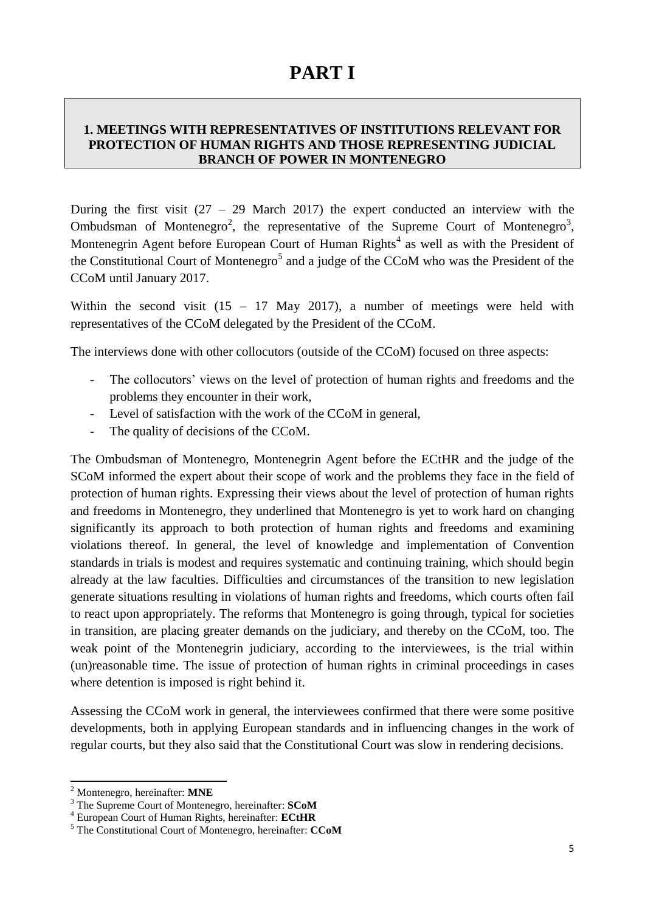# **PART I**

### **1. MEETINGS WITH REPRESENTATIVES OF INSTITUTIONS RELEVANT FOR PROTECTION OF HUMAN RIGHTS AND THOSE REPRESENTING JUDICIAL BRANCH OF POWER IN MONTENEGRO**

During the first visit  $(27 - 29)$  March 2017) the expert conducted an interview with the Ombudsman of Montenegro<sup>2</sup>, the representative of the Supreme Court of Montenegro<sup>3</sup>, Montenegrin Agent before European Court of Human Rights<sup>4</sup> as well as with the President of the Constitutional Court of Montenegro<sup>5</sup> and a judge of the CCoM who was the President of the CCoM until January 2017.

Within the second visit  $(15 - 17 \text{ May } 2017)$ , a number of meetings were held with representatives of the CCoM delegated by the President of the CCoM.

The interviews done with other collocutors (outside of the CCoM) focused on three aspects:

- The collocutors' views on the level of protection of human rights and freedoms and the problems they encounter in their work,
- Level of satisfaction with the work of the CCoM in general,
- The quality of decisions of the CCoM.

The Ombudsman of Montenegro, Montenegrin Agent before the ECtHR and the judge of the SCoM informed the expert about their scope of work and the problems they face in the field of protection of human rights. Expressing their views about the level of protection of human rights and freedoms in Montenegro, they underlined that Montenegro is yet to work hard on changing significantly its approach to both protection of human rights and freedoms and examining violations thereof. In general, the level of knowledge and implementation of Convention standards in trials is modest and requires systematic and continuing training, which should begin already at the law faculties. Difficulties and circumstances of the transition to new legislation generate situations resulting in violations of human rights and freedoms, which courts often fail to react upon appropriately. The reforms that Montenegro is going through, typical for societies in transition, are placing greater demands on the judiciary, and thereby on the CCoM, too. The weak point of the Montenegrin judiciary, according to the interviewees, is the trial within (un)reasonable time. The issue of protection of human rights in criminal proceedings in cases where detention is imposed is right behind it.

Assessing the CCoM work in general, the interviewees confirmed that there were some positive developments, both in applying European standards and in influencing changes in the work of regular courts, but they also said that the Constitutional Court was slow in rendering decisions.

 $\overline{a}$ 

<sup>2</sup> Montenegro, hereinafter: **MNE**

<sup>3</sup> The Supreme Court of Montenegro, hereinafter: **SCoM** <sup>4</sup> European Court of Human Rights, hereinafter: **ECtHR**

<sup>5</sup> The Constitutional Court of Montenegro, hereinafter: **CCoM**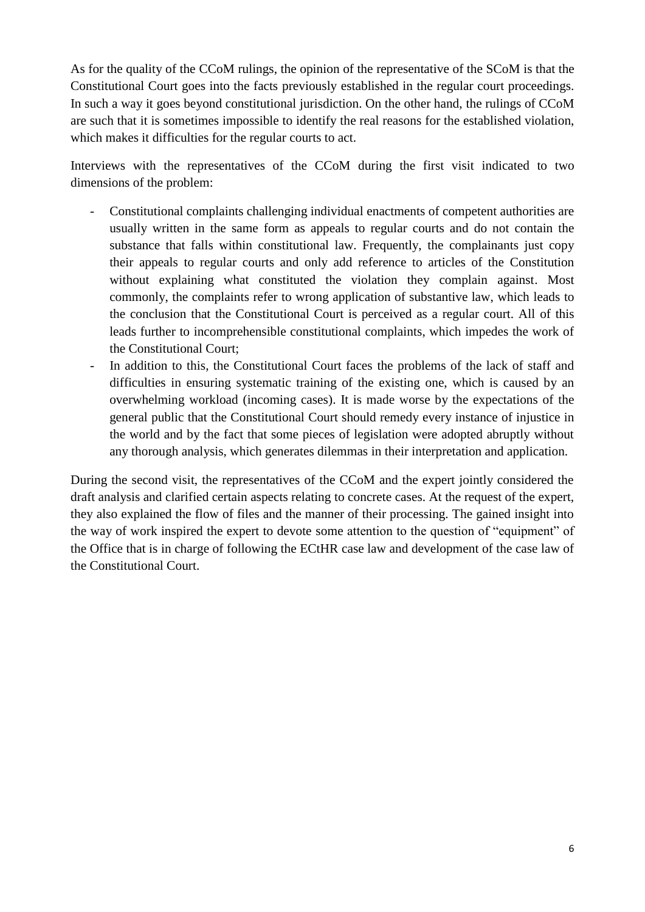As for the quality of the CCoM rulings, the opinion of the representative of the SCoM is that the Constitutional Court goes into the facts previously established in the regular court proceedings. In such a way it goes beyond constitutional jurisdiction. On the other hand, the rulings of CCoM are such that it is sometimes impossible to identify the real reasons for the established violation, which makes it difficulties for the regular courts to act.

Interviews with the representatives of the CCoM during the first visit indicated to two dimensions of the problem:

- Constitutional complaints challenging individual enactments of competent authorities are usually written in the same form as appeals to regular courts and do not contain the substance that falls within constitutional law. Frequently, the complainants just copy their appeals to regular courts and only add reference to articles of the Constitution without explaining what constituted the violation they complain against. Most commonly, the complaints refer to wrong application of substantive law, which leads to the conclusion that the Constitutional Court is perceived as a regular court. All of this leads further to incomprehensible constitutional complaints, which impedes the work of the Constitutional Court;
- In addition to this, the Constitutional Court faces the problems of the lack of staff and difficulties in ensuring systematic training of the existing one, which is caused by an overwhelming workload (incoming cases). It is made worse by the expectations of the general public that the Constitutional Court should remedy every instance of injustice in the world and by the fact that some pieces of legislation were adopted abruptly without any thorough analysis, which generates dilemmas in their interpretation and application.

During the second visit, the representatives of the CCoM and the expert jointly considered the draft analysis and clarified certain aspects relating to concrete cases. At the request of the expert, they also explained the flow of files and the manner of their processing. The gained insight into the way of work inspired the expert to devote some attention to the question of "equipment" of the Office that is in charge of following the ECtHR case law and development of the case law of the Constitutional Court.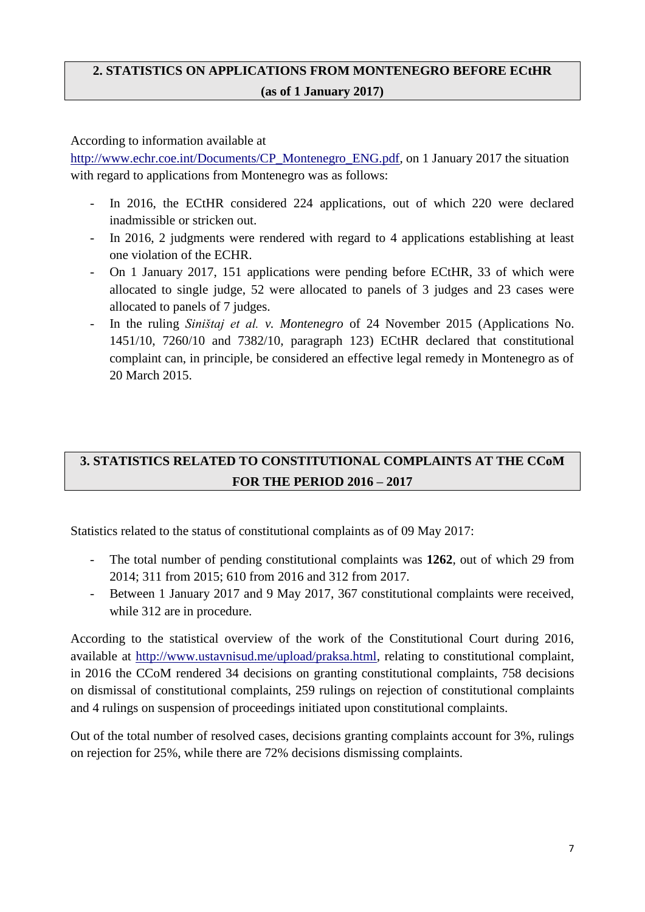# **2. STATISTICS ON APPLICATIONS FROM MONTENEGRO BEFORE ECtHR (as of 1 January 2017)**

According to information available at

[http://www.echr.coe.int/Documents/CP\\_Montenegro\\_ENG.pdf,](http://www.echr.coe.int/Documents/CP_Montenegro_ENG.pdf) on 1 January 2017 the situation with regard to applications from Montenegro was as follows:

- In 2016, the ECtHR considered 224 applications, out of which 220 were declared inadmissible or stricken out.
- In 2016, 2 judgments were rendered with regard to 4 applications establishing at least one violation of the ECHR.
- On 1 January 2017, 151 applications were pending before ECtHR, 33 of which were allocated to single judge, 52 were allocated to panels of 3 judges and 23 cases were allocated to panels of 7 judges.
- In the ruling *Siništaj et al. v. Montenegro* of 24 November 2015 (Applications No. 1451/10, 7260/10 and 7382/10, paragraph 123) ECtHR declared that constitutional complaint can, in principle, be considered an effective legal remedy in Montenegro as of 20 March 2015.

# **3. STATISTICS RELATED TO CONSTITUTIONAL COMPLAINTS AT THE CCoM FOR THE PERIOD 2016 – 2017**

Statistics related to the status of constitutional complaints as of 09 May 2017:

- The total number of pending constitutional complaints was **1262**, out of which 29 from 2014; 311 from 2015; 610 from 2016 and 312 from 2017.
- Between 1 January 2017 and 9 May 2017, 367 constitutional complaints were received, while 312 are in procedure.

According to the statistical overview of the work of the Constitutional Court during 2016, available at [http://www.ustavnisud.me/upload/praksa.html,](http://www.ustavnisud.me/upload/praksa.html) relating to constitutional complaint, in 2016 the CCoM rendered 34 decisions on granting constitutional complaints, 758 decisions on dismissal of constitutional complaints, 259 rulings on rejection of constitutional complaints and 4 rulings on suspension of proceedings initiated upon constitutional complaints.

Out of the total number of resolved cases, decisions granting complaints account for 3%, rulings on rejection for 25%, while there are 72% decisions dismissing complaints.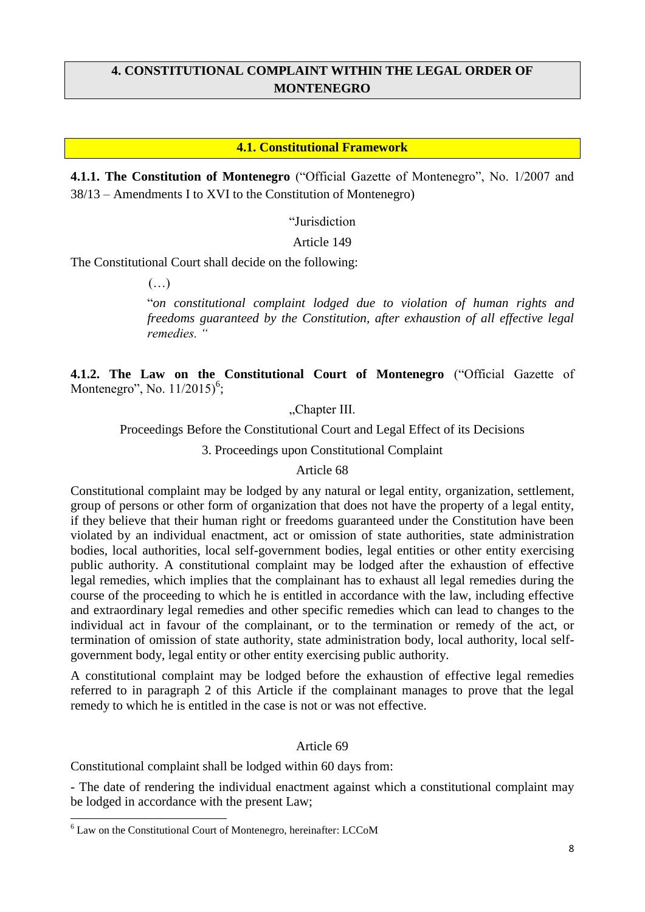# **4. CONSTITUTIONAL COMPLAINT WITHIN THE LEGAL ORDER OF MONTENEGRO**

#### **4.1. Constitutional Framework**

**4.1.1. The Constitution of Montenegro** ("Official Gazette of Montenegro", No. 1/2007 and 38/13 – Amendments I to XVI to the Constitution of Montenegro)

"Jurisdiction

Article 149

The Constitutional Court shall decide on the following:

 $(\ldots)$ 

"*on constitutional complaint lodged due to violation of human rights and freedoms guaranteed by the Constitution, after exhaustion of all effective legal remedies. "*

**4.1.2. The Law on the Constitutional Court of Montenegro** ("Official Gazette of Montenegro", No.  $11/2015$ <sup>6</sup>;

"Chapter III.

Proceedings Before the Constitutional Court and Legal Effect of its Decisions

3. Proceedings upon Constitutional Complaint

#### Article 68

Constitutional complaint may be lodged by any natural or legal entity, organization, settlement, group of persons or other form of organization that does not have the property of a legal entity, if they believe that their human right or freedoms guaranteed under the Constitution have been violated by an individual enactment, act or omission of state authorities, state administration bodies, local authorities, local self-government bodies, legal entities or other entity exercising public authority. A constitutional complaint may be lodged after the exhaustion of effective legal remedies, which implies that the complainant has to exhaust all legal remedies during the course of the proceeding to which he is entitled in accordance with the law, including effective and extraordinary legal remedies and other specific remedies which can lead to changes to the individual act in favour of the complainant, or to the termination or remedy of the act, or termination of omission of state authority, state administration body, local authority, local selfgovernment body, legal entity or other entity exercising public authority.

A constitutional complaint may be lodged before the exhaustion of effective legal remedies referred to in paragraph 2 of this Article if the complainant manages to prove that the legal remedy to which he is entitled in the case is not or was not effective.

#### Article 69

Constitutional complaint shall be lodged within 60 days from:

- The date of rendering the individual enactment against which a constitutional complaint may be lodged in accordance with the present Law;

 $\overline{a}$ 

<sup>6</sup> Law on the Constitutional Court of Montenegro, hereinafter: LCCoM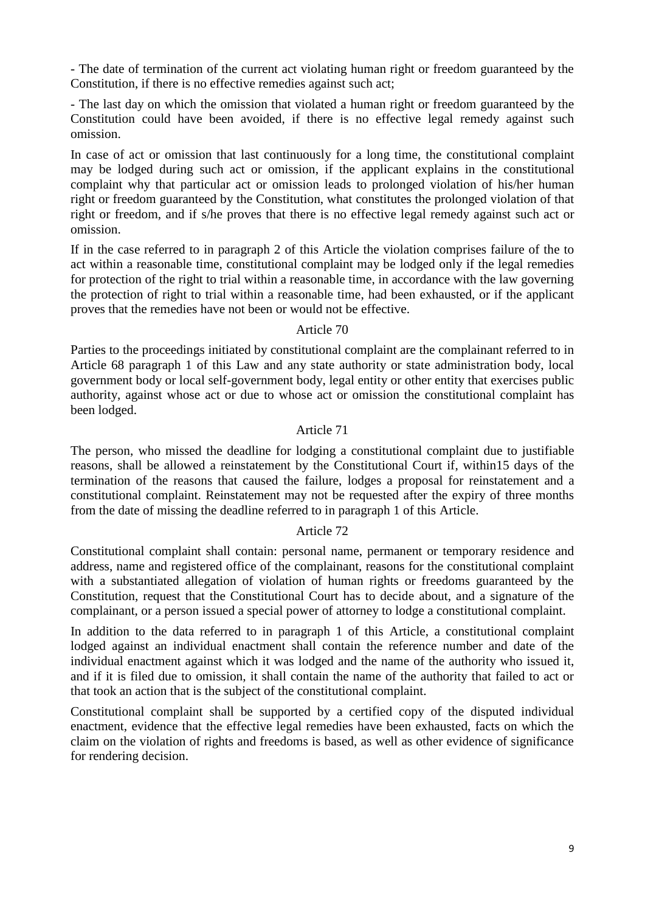- The date of termination of the current act violating human right or freedom guaranteed by the Constitution, if there is no effective remedies against such act;

- The last day on which the omission that violated a human right or freedom guaranteed by the Constitution could have been avoided, if there is no effective legal remedy against such omission.

In case of act or omission that last continuously for a long time, the constitutional complaint may be lodged during such act or omission, if the applicant explains in the constitutional complaint why that particular act or omission leads to prolonged violation of his/her human right or freedom guaranteed by the Constitution, what constitutes the prolonged violation of that right or freedom, and if s/he proves that there is no effective legal remedy against such act or omission.

If in the case referred to in paragraph 2 of this Article the violation comprises failure of the to act within a reasonable time, constitutional complaint may be lodged only if the legal remedies for protection of the right to trial within a reasonable time, in accordance with the law governing the protection of right to trial within a reasonable time, had been exhausted, or if the applicant proves that the remedies have not been or would not be effective.

#### Article 70

Parties to the proceedings initiated by constitutional complaint are the complainant referred to in Article 68 paragraph 1 of this Law and any state authority or state administration body, local government body or local self-government body, legal entity or other entity that exercises public authority, against whose act or due to whose act or omission the constitutional complaint has been lodged.

#### Article 71

The person, who missed the deadline for lodging a constitutional complaint due to justifiable reasons, shall be allowed a reinstatement by the Constitutional Court if, within15 days of the termination of the reasons that caused the failure, lodges a proposal for reinstatement and a constitutional complaint. Reinstatement may not be requested after the expiry of three months from the date of missing the deadline referred to in paragraph 1 of this Article.

#### Article 72

Constitutional complaint shall contain: personal name, permanent or temporary residence and address, name and registered office of the complainant, reasons for the constitutional complaint with a substantiated allegation of violation of human rights or freedoms guaranteed by the Constitution, request that the Constitutional Court has to decide about, and a signature of the complainant, or a person issued a special power of attorney to lodge a constitutional complaint.

In addition to the data referred to in paragraph 1 of this Article, a constitutional complaint lodged against an individual enactment shall contain the reference number and date of the individual enactment against which it was lodged and the name of the authority who issued it, and if it is filed due to omission, it shall contain the name of the authority that failed to act or that took an action that is the subject of the constitutional complaint.

Constitutional complaint shall be supported by a certified copy of the disputed individual enactment, evidence that the effective legal remedies have been exhausted, facts on which the claim on the violation of rights and freedoms is based, as well as other evidence of significance for rendering decision.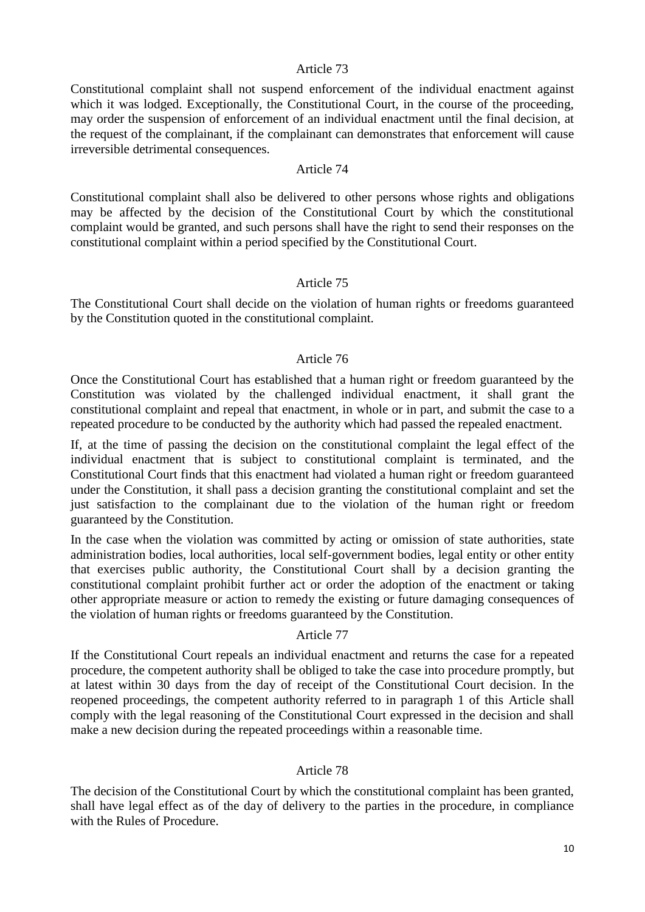#### Article 73

Constitutional complaint shall not suspend enforcement of the individual enactment against which it was lodged. Exceptionally, the Constitutional Court, in the course of the proceeding, may order the suspension of enforcement of an individual enactment until the final decision, at the request of the complainant, if the complainant can demonstrates that enforcement will cause irreversible detrimental consequences.

#### Article 74

Constitutional complaint shall also be delivered to other persons whose rights and obligations may be affected by the decision of the Constitutional Court by which the constitutional complaint would be granted, and such persons shall have the right to send their responses on the constitutional complaint within a period specified by the Constitutional Court.

#### Article 75

The Constitutional Court shall decide on the violation of human rights or freedoms guaranteed by the Constitution quoted in the constitutional complaint.

#### Article 76

Once the Constitutional Court has established that a human right or freedom guaranteed by the Constitution was violated by the challenged individual enactment, it shall grant the constitutional complaint and repeal that enactment, in whole or in part, and submit the case to a repeated procedure to be conducted by the authority which had passed the repealed enactment.

If, at the time of passing the decision on the constitutional complaint the legal effect of the individual enactment that is subject to constitutional complaint is terminated, and the Constitutional Court finds that this enactment had violated a human right or freedom guaranteed under the Constitution, it shall pass a decision granting the constitutional complaint and set the just satisfaction to the complainant due to the violation of the human right or freedom guaranteed by the Constitution.

In the case when the violation was committed by acting or omission of state authorities, state administration bodies, local authorities, local self-government bodies, legal entity or other entity that exercises public authority, the Constitutional Court shall by a decision granting the constitutional complaint prohibit further act or order the adoption of the enactment or taking other appropriate measure or action to remedy the existing or future damaging consequences of the violation of human rights or freedoms guaranteed by the Constitution.

#### Article 77

If the Constitutional Court repeals an individual enactment and returns the case for a repeated procedure, the competent authority shall be obliged to take the case into procedure promptly, but at latest within 30 days from the day of receipt of the Constitutional Court decision. In the reopened proceedings, the competent authority referred to in paragraph 1 of this Article shall comply with the legal reasoning of the Constitutional Court expressed in the decision and shall make a new decision during the repeated proceedings within a reasonable time.

#### Article 78

The decision of the Constitutional Court by which the constitutional complaint has been granted, shall have legal effect as of the day of delivery to the parties in the procedure, in compliance with the Rules of Procedure.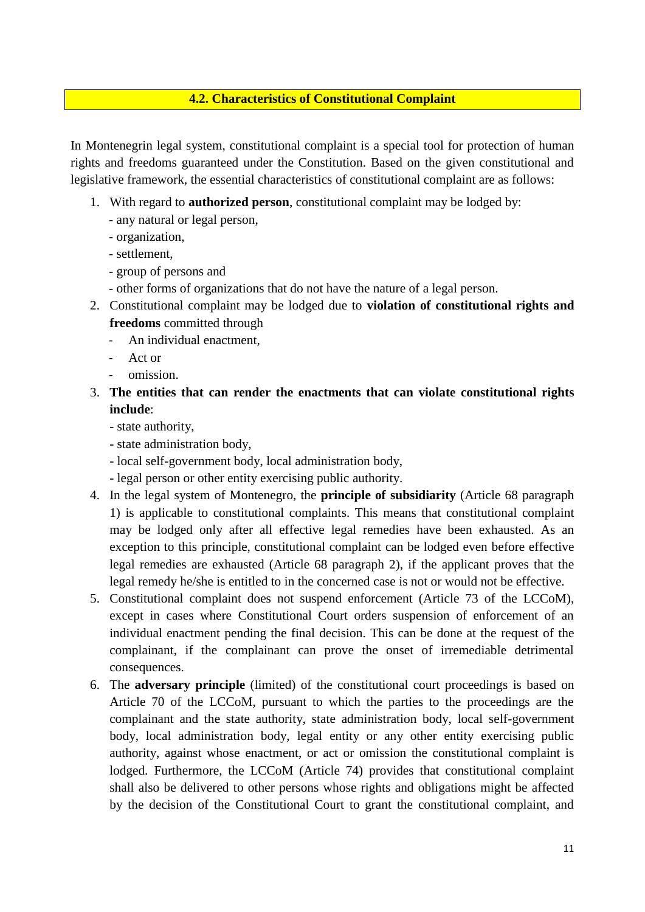### **4.2. Characteristics of Constitutional Complaint**

In Montenegrin legal system, constitutional complaint is a special tool for protection of human rights and freedoms guaranteed under the Constitution. Based on the given constitutional and legislative framework, the essential characteristics of constitutional complaint are as follows:

- 1. With regard to **authorized person**, constitutional complaint may be lodged by:
	- any natural or legal person,
	- organization,
	- settlement,
	- group of persons and
	- other forms of organizations that do not have the nature of a legal person.
- 2. Constitutional complaint may be lodged due to **violation of constitutional rights and freedoms** committed through
	- An individual enactment,
	- Act or
	- omission.
- 3. **The entities that can render the enactments that can violate constitutional rights include**:
	- state authority,
	- state administration body,
	- local self-government body, local administration body,
	- legal person or other entity exercising public authority.
- 4. In the legal system of Montenegro, the **principle of subsidiarity** (Article 68 paragraph 1) is applicable to constitutional complaints. This means that constitutional complaint may be lodged only after all effective legal remedies have been exhausted. As an exception to this principle, constitutional complaint can be lodged even before effective legal remedies are exhausted (Article 68 paragraph 2), if the applicant proves that the legal remedy he/she is entitled to in the concerned case is not or would not be effective.
- 5. Constitutional complaint does not suspend enforcement (Article 73 of the LCCoM), except in cases where Constitutional Court orders suspension of enforcement of an individual enactment pending the final decision. This can be done at the request of the complainant, if the complainant can prove the onset of irremediable detrimental consequences.
- 6. The **adversary principle** (limited) of the constitutional court proceedings is based on Article 70 of the LCCoM, pursuant to which the parties to the proceedings are the complainant and the state authority, state administration body, local self-government body, local administration body, legal entity or any other entity exercising public authority, against whose enactment, or act or omission the constitutional complaint is lodged. Furthermore, the LCCoM (Article 74) provides that constitutional complaint shall also be delivered to other persons whose rights and obligations might be affected by the decision of the Constitutional Court to grant the constitutional complaint, and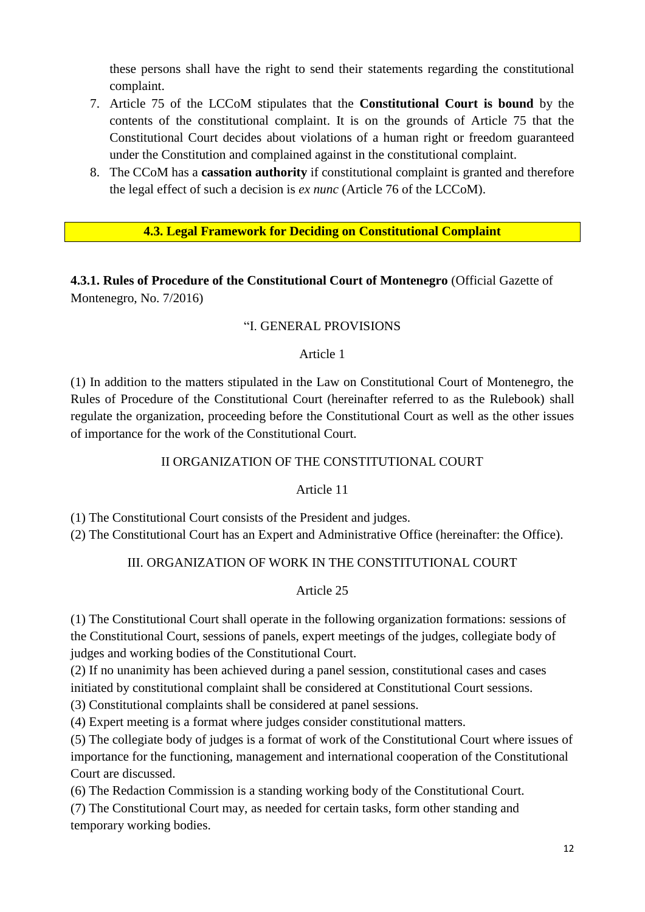these persons shall have the right to send their statements regarding the constitutional complaint.

- 7. Article 75 of the LCCoM stipulates that the **Constitutional Court is bound** by the contents of the constitutional complaint. It is on the grounds of Article 75 that the Constitutional Court decides about violations of a human right or freedom guaranteed under the Constitution and complained against in the constitutional complaint.
- 8. The CCoM has a **cassation authority** if constitutional complaint is granted and therefore the legal effect of such a decision is *ex nunc* (Article 76 of the LCCoM).

# **4.3. Legal Framework for Deciding on Constitutional Complaint**

**4.3.1. Rules of Procedure of the Constitutional Court of Montenegro** (Official Gazette of Montenegro, No. 7/2016)

#### "I. GENERAL PROVISIONS

#### Article 1

(1) In addition to the matters stipulated in the Law on Constitutional Court of Montenegro, the Rules of Procedure of the Constitutional Court (hereinafter referred to as the Rulebook) shall regulate the organization, proceeding before the Constitutional Court as well as the other issues of importance for the work of the Constitutional Court.

#### II ORGANIZATION OF THE CONSTITUTIONAL COURT

### Article 11

(1) The Constitutional Court consists of the President and judges.

(2) The Constitutional Court has an Expert and Administrative Office (hereinafter: the Office).

### III. ORGANIZATION OF WORK IN THE CONSTITUTIONAL COURT

### Article 25

(1) The Constitutional Court shall operate in the following organization formations: sessions of the Constitutional Court, sessions of panels, expert meetings of the judges, collegiate body of judges and working bodies of the Constitutional Court.

(2) If no unanimity has been achieved during a panel session, constitutional cases and cases initiated by constitutional complaint shall be considered at Constitutional Court sessions.

(3) Constitutional complaints shall be considered at panel sessions.

(4) Expert meeting is a format where judges consider constitutional matters.

(5) The collegiate body of judges is a format of work of the Constitutional Court where issues of importance for the functioning, management and international cooperation of the Constitutional Court are discussed.

(6) The Redaction Commission is a standing working body of the Constitutional Court.

(7) The Constitutional Court may, as needed for certain tasks, form other standing and temporary working bodies.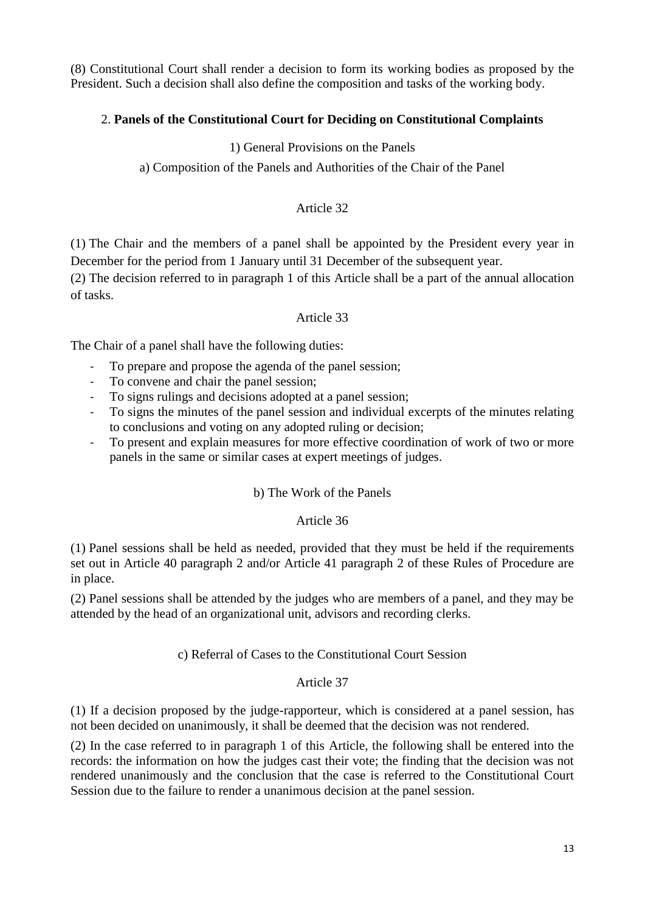(8) Constitutional Court shall render a decision to form its working bodies as proposed by the President. Such a decision shall also define the composition and tasks of the working body.

# 2. **Panels of the Constitutional Court for Deciding on Constitutional Complaints**

1) General Provisions on the Panels

a) Composition of the Panels and Authorities of the Chair of the Panel

#### Article 32

(1) The Chair and the members of a panel shall be appointed by the President every year in December for the period from 1 January until 31 December of the subsequent year.

(2) The decision referred to in paragraph 1 of this Article shall be a part of the annual allocation of tasks.

#### Article 33

The Chair of a panel shall have the following duties:

- To prepare and propose the agenda of the panel session;
- To convene and chair the panel session;
- To signs rulings and decisions adopted at a panel session;
- To signs the minutes of the panel session and individual excerpts of the minutes relating to conclusions and voting on any adopted ruling or decision;
- To present and explain measures for more effective coordination of work of two or more panels in the same or similar cases at expert meetings of judges.

#### b) The Work of the Panels

#### Article 36

(1) Panel sessions shall be held as needed, provided that they must be held if the requirements set out in Article 40 paragraph 2 and/or Article 41 paragraph 2 of these Rules of Procedure are in place.

(2) Panel sessions shall be attended by the judges who are members of a panel, and they may be attended by the head of an organizational unit, advisors and recording clerks.

#### c) Referral of Cases to the Constitutional Court Session

#### Article 37

(1) If a decision proposed by the judge-rapporteur, which is considered at a panel session, has not been decided on unanimously, it shall be deemed that the decision was not rendered.

(2) In the case referred to in paragraph 1 of this Article, the following shall be entered into the records: the information on how the judges cast their vote; the finding that the decision was not rendered unanimously and the conclusion that the case is referred to the Constitutional Court Session due to the failure to render a unanimous decision at the panel session.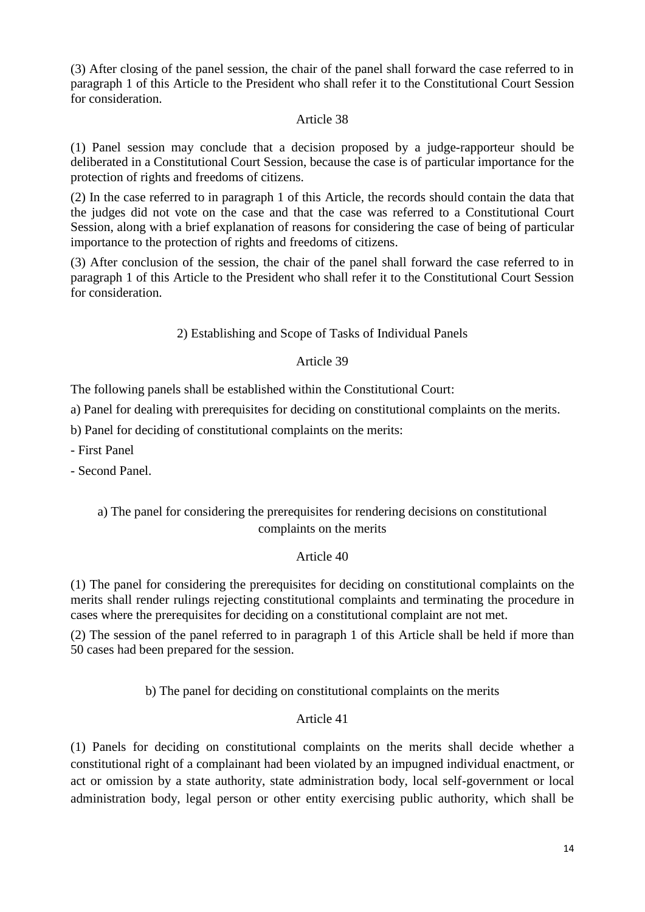(3) After closing of the panel session, the chair of the panel shall forward the case referred to in paragraph 1 of this Article to the President who shall refer it to the Constitutional Court Session for consideration.

#### Article 38

(1) Panel session may conclude that a decision proposed by a judge-rapporteur should be deliberated in a Constitutional Court Session, because the case is of particular importance for the protection of rights and freedoms of citizens.

(2) In the case referred to in paragraph 1 of this Article, the records should contain the data that the judges did not vote on the case and that the case was referred to a Constitutional Court Session, along with a brief explanation of reasons for considering the case of being of particular importance to the protection of rights and freedoms of citizens.

(3) After conclusion of the session, the chair of the panel shall forward the case referred to in paragraph 1 of this Article to the President who shall refer it to the Constitutional Court Session for consideration.

### 2) Establishing and Scope of Tasks of Individual Panels

# Article 39

The following panels shall be established within the Constitutional Court:

a) Panel for dealing with prerequisites for deciding on constitutional complaints on the merits.

b) Panel for deciding of constitutional complaints on the merits:

- First Panel

- Second Panel.

# a) The panel for considering the prerequisites for rendering decisions on constitutional complaints on the merits

# Article 40

(1) The panel for considering the prerequisites for deciding on constitutional complaints on the merits shall render rulings rejecting constitutional complaints and terminating the procedure in cases where the prerequisites for deciding on a constitutional complaint are not met.

(2) The session of the panel referred to in paragraph 1 of this Article shall be held if more than 50 cases had been prepared for the session.

b) The panel for deciding on constitutional complaints on the merits

### Article 41

(1) Panels for deciding on constitutional complaints on the merits shall decide whether a constitutional right of a complainant had been violated by an impugned individual enactment, or act or omission by a state authority, state administration body, local self-government or local administration body, legal person or other entity exercising public authority, which shall be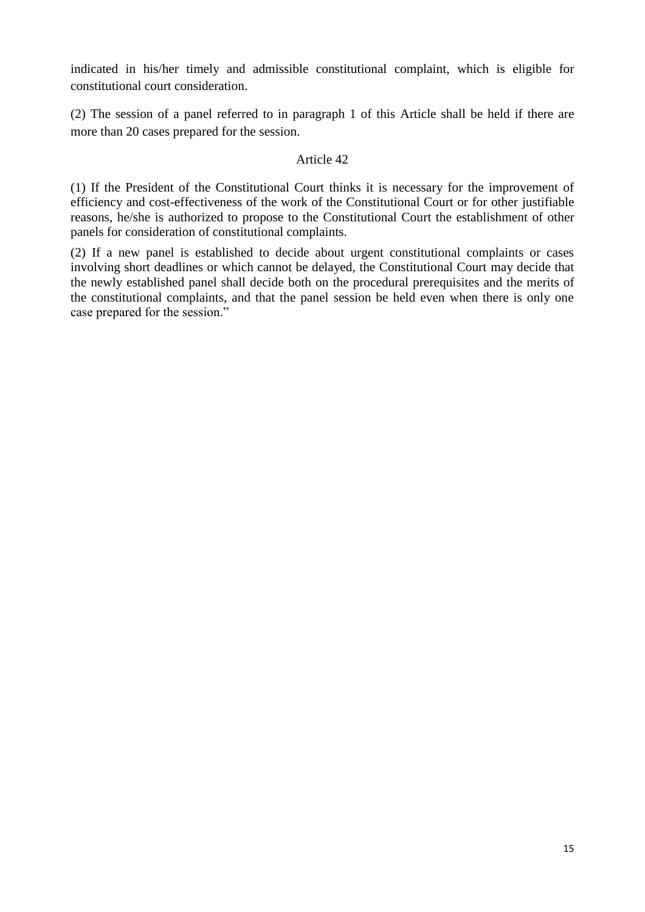indicated in his/her timely and admissible constitutional complaint, which is eligible for constitutional court consideration.

(2) The session of a panel referred to in paragraph 1 of this Article shall be held if there are more than 20 cases prepared for the session.

#### Article 42

(1) If the President of the Constitutional Court thinks it is necessary for the improvement of efficiency and cost-effectiveness of the work of the Constitutional Court or for other justifiable reasons, he/she is authorized to propose to the Constitutional Court the establishment of other panels for consideration of constitutional complaints.

(2) If a new panel is established to decide about urgent constitutional complaints or cases involving short deadlines or which cannot be delayed, the Constitutional Court may decide that the newly established panel shall decide both on the procedural prerequisites and the merits of the constitutional complaints, and that the panel session be held even when there is only one case prepared for the session."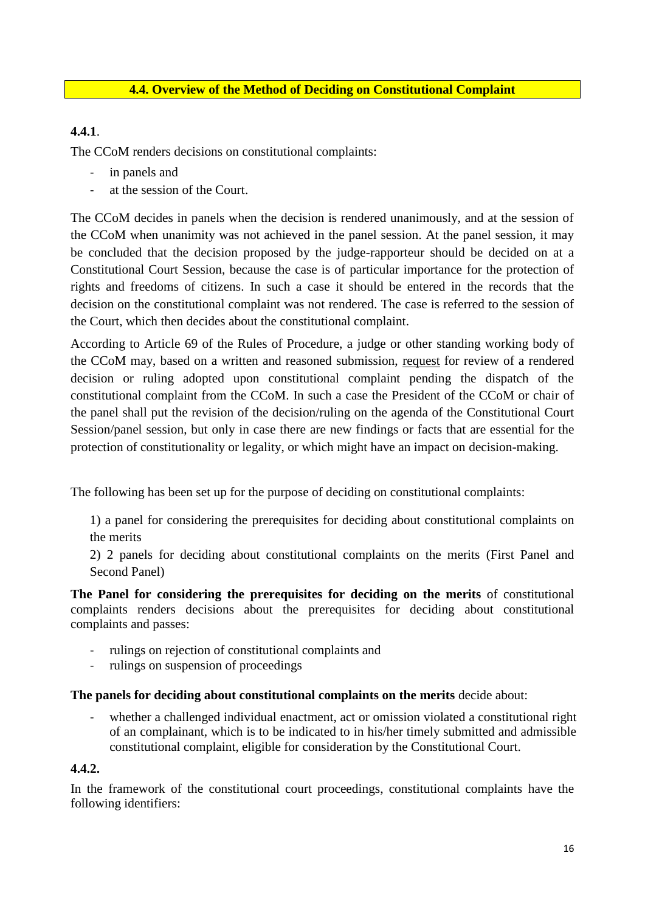### **4.4. Overview of the Method of Deciding on Constitutional Complaint**

# **4.4.1**.

The CCoM renders decisions on constitutional complaints:

- in panels and
- at the session of the Court.

The CCoM decides in panels when the decision is rendered unanimously, and at the session of the CCoM when unanimity was not achieved in the panel session. At the panel session, it may be concluded that the decision proposed by the judge-rapporteur should be decided on at a Constitutional Court Session, because the case is of particular importance for the protection of rights and freedoms of citizens. In such a case it should be entered in the records that the decision on the constitutional complaint was not rendered. The case is referred to the session of the Court, which then decides about the constitutional complaint.

According to Article 69 of the Rules of Procedure, a judge or other standing working body of the CCoM may, based on a written and reasoned submission, request for review of a rendered decision or ruling adopted upon constitutional complaint pending the dispatch of the constitutional complaint from the CCoM. In such a case the President of the CCoM or chair of the panel shall put the revision of the decision/ruling on the agenda of the Constitutional Court Session/panel session, but only in case there are new findings or facts that are essential for the protection of constitutionality or legality, or which might have an impact on decision-making.

The following has been set up for the purpose of deciding on constitutional complaints:

1) a panel for considering the prerequisites for deciding about constitutional complaints on the merits

2) 2 panels for deciding about constitutional complaints on the merits (First Panel and Second Panel)

**The Panel for considering the prerequisites for deciding on the merits** of constitutional complaints renders decisions about the prerequisites for deciding about constitutional complaints and passes:

- rulings on rejection of constitutional complaints and
- rulings on suspension of proceedings

#### **The panels for deciding about constitutional complaints on the merits** decide about:

whether a challenged individual enactment, act or omission violated a constitutional right of an complainant, which is to be indicated to in his/her timely submitted and admissible constitutional complaint, eligible for consideration by the Constitutional Court.

#### **4.4.2.**

In the framework of the constitutional court proceedings, constitutional complaints have the following identifiers: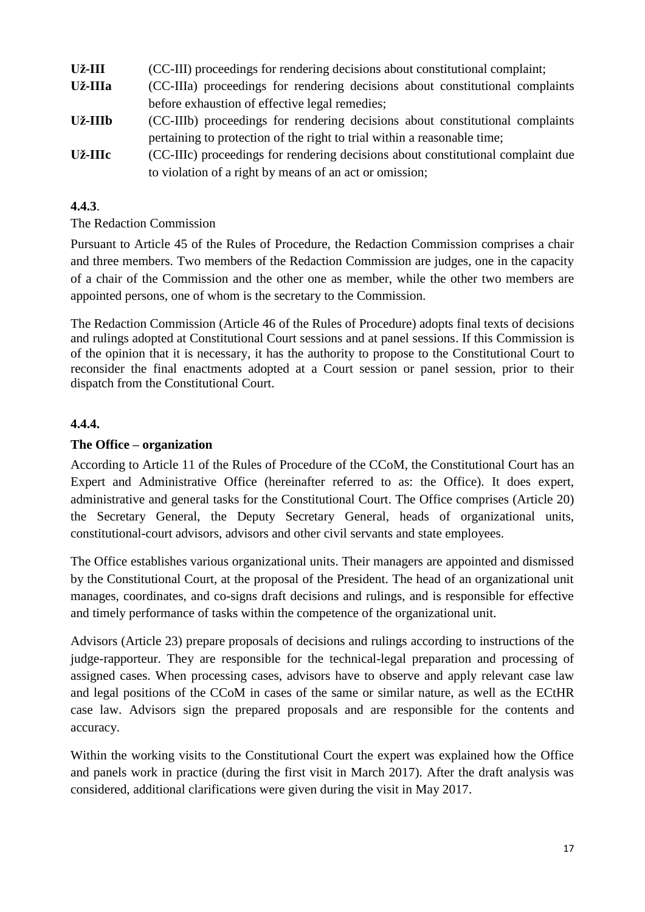| Už-III  | (CC-III) proceedings for rendering decisions about constitutional complaint;     |  |  |
|---------|----------------------------------------------------------------------------------|--|--|
| Už-IIIa | (CC-IIIa) proceedings for rendering decisions about constitutional complaints    |  |  |
|         | before exhaustion of effective legal remedies;                                   |  |  |
| Už-IIIb | (CC-IIIb) proceedings for rendering decisions about constitutional complaints    |  |  |
|         | pertaining to protection of the right to trial within a reasonable time;         |  |  |
| Už-IIIc | (CC-IIIc) proceedings for rendering decisions about constitutional complaint due |  |  |
|         | to violation of a right by means of an act or omission;                          |  |  |

#### **4.4.3**.

#### The Redaction Commission

Pursuant to Article 45 of the Rules of Procedure, the Redaction Commission comprises a chair and three members. Two members of the Redaction Commission are judges, one in the capacity of a chair of the Commission and the other one as member, while the other two members are appointed persons, one of whom is the secretary to the Commission.

The Redaction Commission (Article 46 of the Rules of Procedure) adopts final texts of decisions and rulings adopted at Constitutional Court sessions and at panel sessions. If this Commission is of the opinion that it is necessary, it has the authority to propose to the Constitutional Court to reconsider the final enactments adopted at a Court session or panel session, prior to their dispatch from the Constitutional Court.

#### **4.4.4.**

#### **The Office – organization**

According to Article 11 of the Rules of Procedure of the CCoM, the Constitutional Court has an Expert and Administrative Office (hereinafter referred to as: the Office). It does expert, administrative and general tasks for the Constitutional Court. The Office comprises (Article 20) the Secretary General, the Deputy Secretary General, heads of organizational units, constitutional-court advisors, advisors and other civil servants and state employees.

The Office establishes various organizational units. Their managers are appointed and dismissed by the Constitutional Court, at the proposal of the President. The head of an organizational unit manages, coordinates, and co-signs draft decisions and rulings, and is responsible for effective and timely performance of tasks within the competence of the organizational unit.

Advisors (Article 23) prepare proposals of decisions and rulings according to instructions of the judge-rapporteur. They are responsible for the technical-legal preparation and processing of assigned cases. When processing cases, advisors have to observe and apply relevant case law and legal positions of the CCoM in cases of the same or similar nature, as well as the ECtHR case law. Advisors sign the prepared proposals and are responsible for the contents and accuracy.

Within the working visits to the Constitutional Court the expert was explained how the Office and panels work in practice (during the first visit in March 2017). After the draft analysis was considered, additional clarifications were given during the visit in May 2017.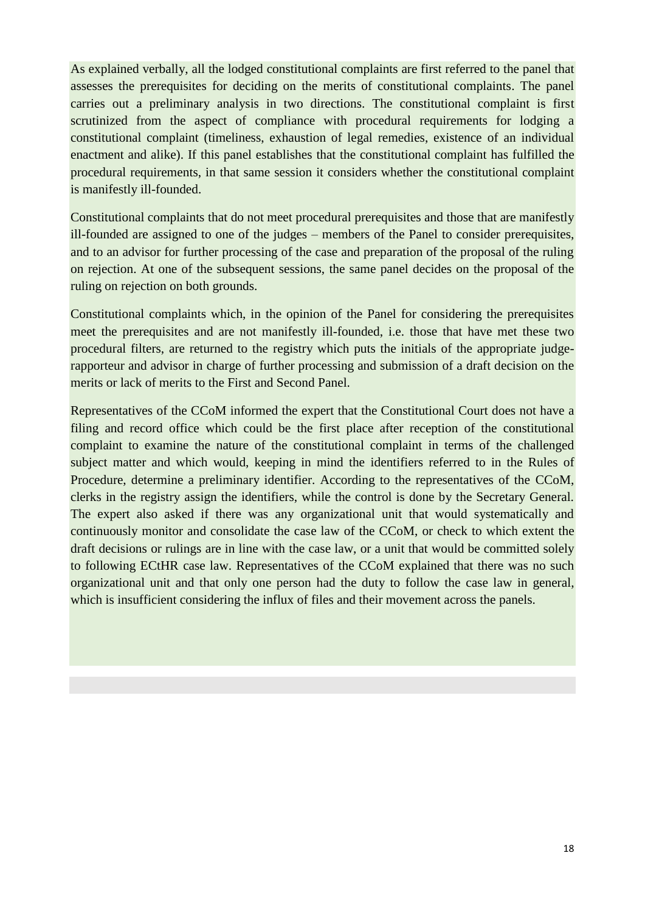As explained verbally, all the lodged constitutional complaints are first referred to the panel that assesses the prerequisites for deciding on the merits of constitutional complaints. The panel carries out a preliminary analysis in two directions. The constitutional complaint is first scrutinized from the aspect of compliance with procedural requirements for lodging a constitutional complaint (timeliness, exhaustion of legal remedies, existence of an individual enactment and alike). If this panel establishes that the constitutional complaint has fulfilled the procedural requirements, in that same session it considers whether the constitutional complaint is manifestly ill-founded.

Constitutional complaints that do not meet procedural prerequisites and those that are manifestly ill-founded are assigned to one of the judges – members of the Panel to consider prerequisites, and to an advisor for further processing of the case and preparation of the proposal of the ruling on rejection. At one of the subsequent sessions, the same panel decides on the proposal of the ruling on rejection on both grounds.

Constitutional complaints which, in the opinion of the Panel for considering the prerequisites meet the prerequisites and are not manifestly ill-founded, i.e. those that have met these two procedural filters, are returned to the registry which puts the initials of the appropriate judgerapporteur and advisor in charge of further processing and submission of a draft decision on the merits or lack of merits to the First and Second Panel.

Representatives of the CCoM informed the expert that the Constitutional Court does not have a filing and record office which could be the first place after reception of the constitutional complaint to examine the nature of the constitutional complaint in terms of the challenged subject matter and which would, keeping in mind the identifiers referred to in the Rules of Procedure, determine a preliminary identifier. According to the representatives of the CCoM, clerks in the registry assign the identifiers, while the control is done by the Secretary General. The expert also asked if there was any organizational unit that would systematically and continuously monitor and consolidate the case law of the CCoM, or check to which extent the draft decisions or rulings are in line with the case law, or a unit that would be committed solely to following ECtHR case law. Representatives of the CCoM explained that there was no such organizational unit and that only one person had the duty to follow the case law in general, which is insufficient considering the influx of files and their movement across the panels.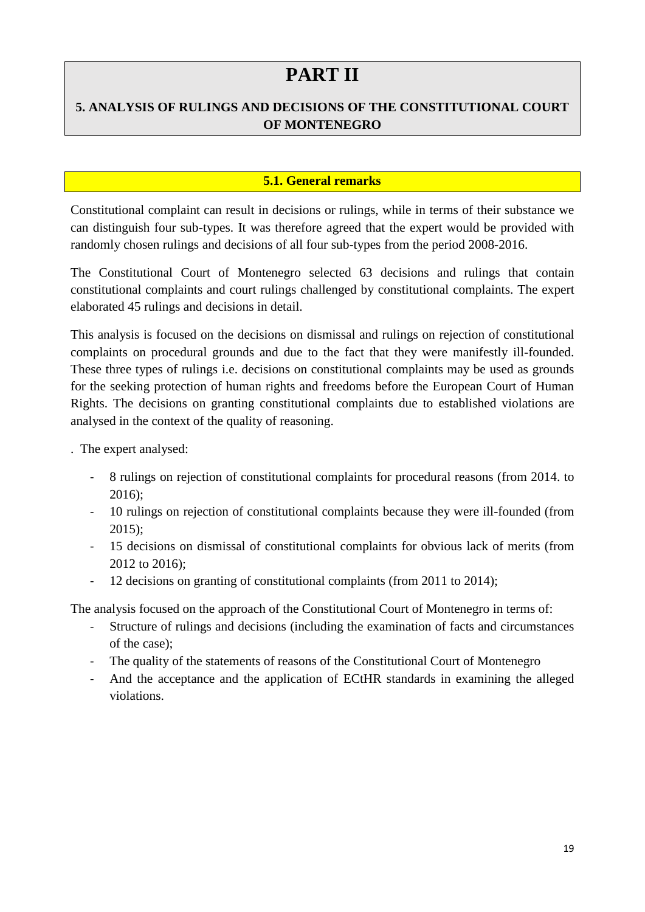# **PART II**

# **5. ANALYSIS OF RULINGS AND DECISIONS OF THE CONSTITUTIONAL COURT OF MONTENEGRO**

# **5.1. General remarks**

Constitutional complaint can result in decisions or rulings, while in terms of their substance we can distinguish four sub-types. It was therefore agreed that the expert would be provided with randomly chosen rulings and decisions of all four sub-types from the period 2008-2016.

The Constitutional Court of Montenegro selected 63 decisions and rulings that contain constitutional complaints and court rulings challenged by constitutional complaints. The expert elaborated 45 rulings and decisions in detail.

This analysis is focused on the decisions on dismissal and rulings on rejection of constitutional complaints on procedural grounds and due to the fact that they were manifestly ill-founded. These three types of rulings i.e. decisions on constitutional complaints may be used as grounds for the seeking protection of human rights and freedoms before the European Court of Human Rights. The decisions on granting constitutional complaints due to established violations are analysed in the context of the quality of reasoning.

. The expert analysed:

- 8 rulings on rejection of constitutional complaints for procedural reasons (from 2014. to 2016);
- 10 rulings on rejection of constitutional complaints because they were ill-founded (from 2015);
- 15 decisions on dismissal of constitutional complaints for obvious lack of merits (from 2012 to 2016);
- 12 decisions on granting of constitutional complaints (from 2011 to 2014);

The analysis focused on the approach of the Constitutional Court of Montenegro in terms of:

- Structure of rulings and decisions (including the examination of facts and circumstances of the case);
- The quality of the statements of reasons of the Constitutional Court of Montenegro
- And the acceptance and the application of ECtHR standards in examining the alleged violations.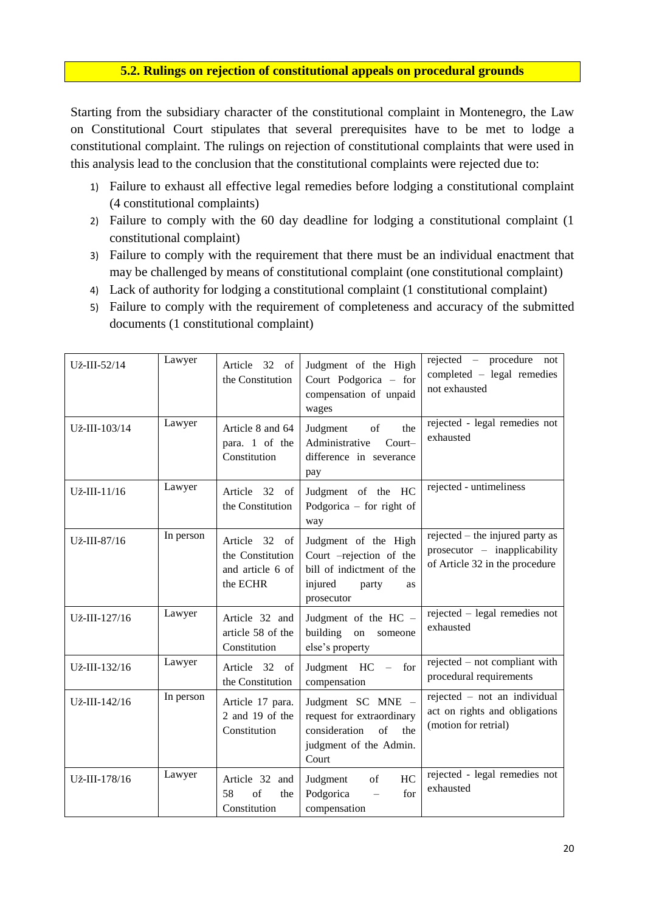#### **5.2. Rulings on rejection of constitutional appeals on procedural grounds**

Starting from the subsidiary character of the constitutional complaint in Montenegro, the Law on Constitutional Court stipulates that several prerequisites have to be met to lodge a constitutional complaint. The rulings on rejection of constitutional complaints that were used in this analysis lead to the conclusion that the constitutional complaints were rejected due to:

- 1) Failure to exhaust all effective legal remedies before lodging a constitutional complaint (4 constitutional complaints)
- 2) Failure to comply with the 60 day deadline for lodging a constitutional complaint (1 constitutional complaint)
- 3) Failure to comply with the requirement that there must be an individual enactment that may be challenged by means of constitutional complaint (one constitutional complaint)
- 4) Lack of authority for lodging a constitutional complaint (1 constitutional complaint)
- 5) Failure to comply with the requirement of completeness and accuracy of the submitted documents (1 constitutional complaint)

| Už-III-52/14  | Lawyer    | Article 32 of<br>the Constitution                                          | Judgment of the High<br>Court Podgorica - for<br>compensation of unpaid<br>wages                                            | rejected – procedure not<br>completed - legal remedies<br>not exhausted                           |
|---------------|-----------|----------------------------------------------------------------------------|-----------------------------------------------------------------------------------------------------------------------------|---------------------------------------------------------------------------------------------------|
| Už-III-103/14 | Lawyer    | Article 8 and 64<br>para. 1 of the<br>Constitution                         | Judgment<br>of<br>the<br>Administrative<br>Court-<br>difference in severance<br>pay                                         | rejected - legal remedies not<br>exhausted                                                        |
| Už-III-11/16  | Lawyer    | Article 32 of<br>the Constitution                                          | Judgment of the HC<br>Podgorica $-$ for right of<br>way                                                                     | rejected - untimeliness                                                                           |
| Už-III-87/16  | In person | Article 32<br>$\alpha$<br>the Constitution<br>and article 6 of<br>the ECHR | Judgment of the High<br>Court -rejection of the<br>bill of indictment of the<br>injured<br>party<br><b>as</b><br>prosecutor | rejected – the injured party as<br>prosecutor – inapplicability<br>of Article 32 in the procedure |
| Už-III-127/16 | Lawyer    | Article 32 and<br>article 58 of the<br>Constitution                        | Judgment of the HC -<br>building<br>on<br>someone<br>else's property                                                        | rejected – legal remedies not<br>exhausted                                                        |
| Už-III-132/16 | Lawyer    | Article 32 of<br>the Constitution                                          | Judgment HC - for<br>compensation                                                                                           | rejected – not compliant with<br>procedural requirements                                          |
| Už-III-142/16 | In person | Article 17 para.<br>2 and 19 of the<br>Constitution                        | Judgment SC MNE -<br>request for extraordinary<br>consideration<br>of<br>the<br>judgment of the Admin.<br>Court             | rejected - not an individual<br>act on rights and obligations<br>(motion for retrial)             |
| Už-III-178/16 | Lawyer    | Article 32 and<br>of<br>58<br>the<br>Constitution                          | HC<br>Judgment<br>of<br>Podgorica<br>for<br>$\equiv$<br>compensation                                                        | rejected - legal remedies not<br>exhausted                                                        |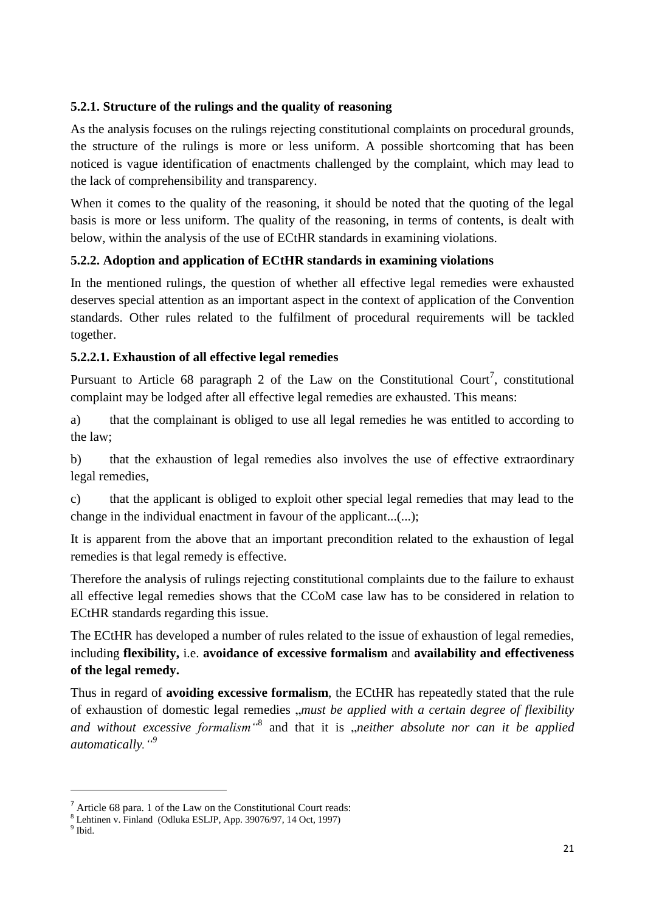# **5.2.1. Structure of the rulings and the quality of reasoning**

As the analysis focuses on the rulings rejecting constitutional complaints on procedural grounds, the structure of the rulings is more or less uniform. A possible shortcoming that has been noticed is vague identification of enactments challenged by the complaint, which may lead to the lack of comprehensibility and transparency.

When it comes to the quality of the reasoning, it should be noted that the quoting of the legal basis is more or less uniform. The quality of the reasoning, in terms of contents, is dealt with below, within the analysis of the use of ECtHR standards in examining violations.

# **5.2.2. Adoption and application of ECtHR standards in examining violations**

In the mentioned rulings, the question of whether all effective legal remedies were exhausted deserves special attention as an important aspect in the context of application of the Convention standards. Other rules related to the fulfilment of procedural requirements will be tackled together.

### **5.2.2.1. Exhaustion of all effective legal remedies**

Pursuant to Article 68 paragraph 2 of the Law on the Constitutional Court<sup>7</sup>, constitutional complaint may be lodged after all effective legal remedies are exhausted. This means:

a) that the complainant is obliged to use all legal remedies he was entitled to according to the law;

b) that the exhaustion of legal remedies also involves the use of effective extraordinary legal remedies,

c) that the applicant is obliged to exploit other special legal remedies that may lead to the change in the individual enactment in favour of the applicant...(...);

It is apparent from the above that an important precondition related to the exhaustion of legal remedies is that legal remedy is effective.

Therefore the analysis of rulings rejecting constitutional complaints due to the failure to exhaust all effective legal remedies shows that the CCoM case law has to be considered in relation to ECtHR standards regarding this issue.

The ECtHR has developed a number of rules related to the issue of exhaustion of legal remedies, including **flexibility,** i.e. **avoidance of excessive formalism** and **availability and effectiveness of the legal remedy.** 

Thus in regard of **avoiding excessive formalism**, the ECtHR has repeatedly stated that the rule of exhaustion of domestic legal remedies *"must be applied with a certain degree of flexibility* and without excessive formalism<sup>3</sup> and that it is "neither absolute nor can it be applied *automatically."<sup>9</sup>*

 $\overline{a}$ 

 $<sup>7</sup>$  Article 68 para. 1 of the Law on the Constitutional Court reads:</sup>

<sup>8</sup> Lehtinen v. Finland (Odluka ESLJP, App. 39076/97, 14 Oct, 1997)

<sup>&</sup>lt;sup>9</sup> Ibid.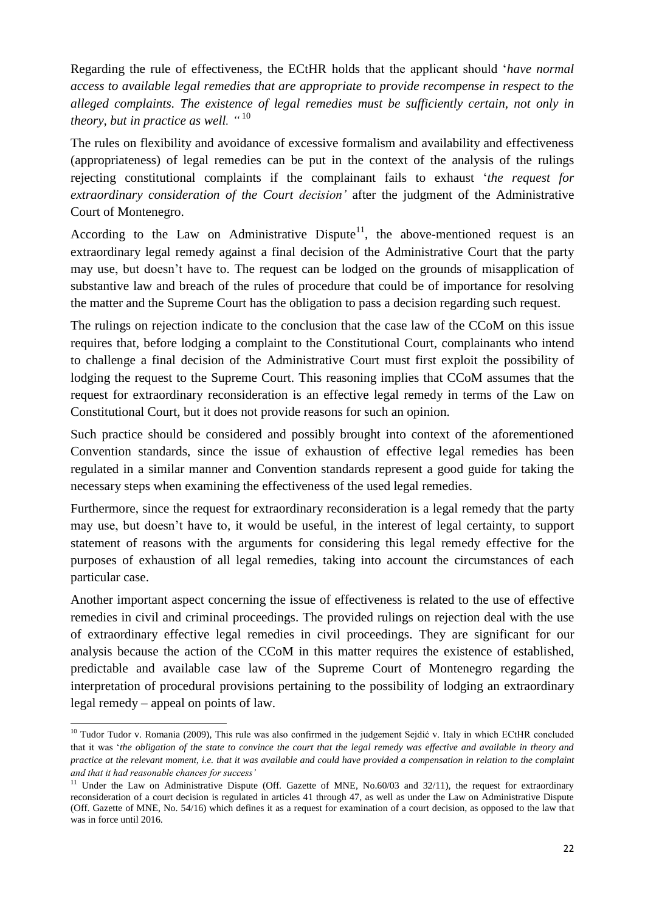Regarding the rule of effectiveness, the ECtHR holds that the applicant should '*have normal access to available legal remedies that are appropriate to provide recompense in respect to the alleged complaints. The existence of legal remedies must be sufficiently certain, not only in theory, but in practice as well. "* <sup>10</sup>

The rules on flexibility and avoidance of excessive formalism and availability and effectiveness (appropriateness) of legal remedies can be put in the context of the analysis of the rulings rejecting constitutional complaints if the complainant fails to exhaust '*the request for extraordinary consideration of the Court decision'* after the judgment of the Administrative Court of Montenegro.

According to the Law on Administrative Dispute<sup>11</sup>, the above-mentioned request is an extraordinary legal remedy against a final decision of the Administrative Court that the party may use, but doesn't have to. The request can be lodged on the grounds of misapplication of substantive law and breach of the rules of procedure that could be of importance for resolving the matter and the Supreme Court has the obligation to pass a decision regarding such request.

The rulings on rejection indicate to the conclusion that the case law of the CCoM on this issue requires that, before lodging a complaint to the Constitutional Court, complainants who intend to challenge a final decision of the Administrative Court must first exploit the possibility of lodging the request to the Supreme Court. This reasoning implies that CCoM assumes that the request for extraordinary reconsideration is an effective legal remedy in terms of the Law on Constitutional Court, but it does not provide reasons for such an opinion.

Such practice should be considered and possibly brought into context of the aforementioned Convention standards, since the issue of exhaustion of effective legal remedies has been regulated in a similar manner and Convention standards represent a good guide for taking the necessary steps when examining the effectiveness of the used legal remedies.

Furthermore, since the request for extraordinary reconsideration is a legal remedy that the party may use, but doesn't have to, it would be useful, in the interest of legal certainty, to support statement of reasons with the arguments for considering this legal remedy effective for the purposes of exhaustion of all legal remedies, taking into account the circumstances of each particular case.

Another important aspect concerning the issue of effectiveness is related to the use of effective remedies in civil and criminal proceedings. The provided rulings on rejection deal with the use of extraordinary effective legal remedies in civil proceedings. They are significant for our analysis because the action of the CCoM in this matter requires the existence of established, predictable and available case law of the Supreme Court of Montenegro regarding the interpretation of procedural provisions pertaining to the possibility of lodging an extraordinary legal remedy – appeal on points of law.

 $\overline{a}$ <sup>10</sup> Tudor Tudor v. Romania (2009)*,* This rule was also confirmed in the judgement Sejdić v. Italy in which ECtHR concluded that it was '*the obligation of the state to convince the court that the legal remedy was effective and available in theory and practice at the relevant moment, i.e. that it was available and could have provided a compensation in relation to the complaint and that it had reasonable chances for success'*

<sup>&</sup>lt;sup>11</sup> Under the Law on Administrative Dispute (Off. Gazette of MNE, No.60/03 and 32/11), the request for extraordinary reconsideration of a court decision is regulated in articles 41 through 47, as well as under the Law on Administrative Dispute (Off. Gazette of MNE, No. 54/16) which defines it as a request for examination of a court decision, as opposed to the law that was in force until 2016.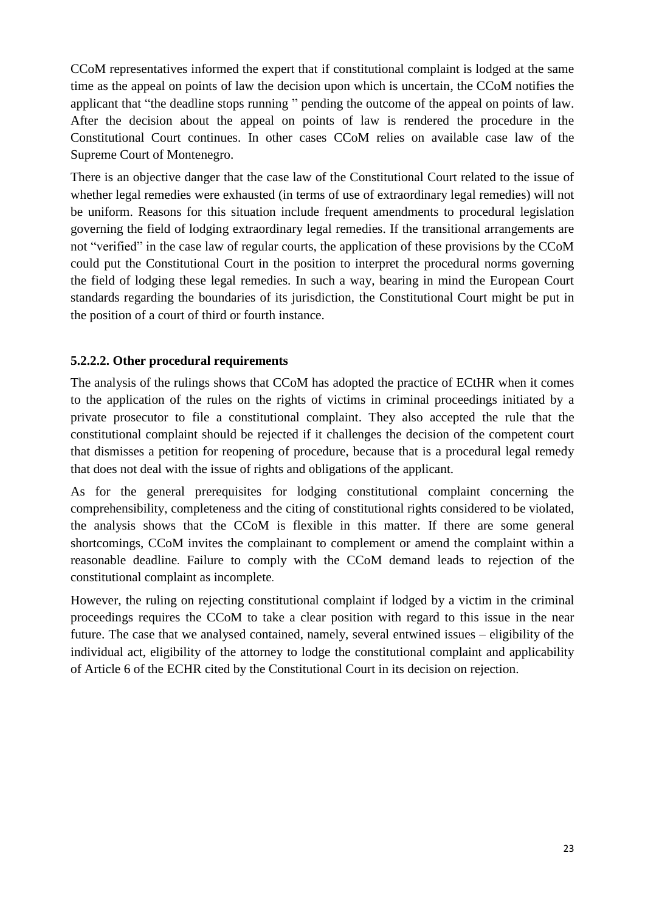CCoM representatives informed the expert that if constitutional complaint is lodged at the same time as the appeal on points of law the decision upon which is uncertain, the CCoM notifies the applicant that "the deadline stops running " pending the outcome of the appeal on points of law. After the decision about the appeal on points of law is rendered the procedure in the Constitutional Court continues. In other cases CCoM relies on available case law of the Supreme Court of Montenegro.

There is an objective danger that the case law of the Constitutional Court related to the issue of whether legal remedies were exhausted (in terms of use of extraordinary legal remedies) will not be uniform. Reasons for this situation include frequent amendments to procedural legislation governing the field of lodging extraordinary legal remedies. If the transitional arrangements are not "verified" in the case law of regular courts, the application of these provisions by the CCoM could put the Constitutional Court in the position to interpret the procedural norms governing the field of lodging these legal remedies. In such a way, bearing in mind the European Court standards regarding the boundaries of its jurisdiction, the Constitutional Court might be put in the position of a court of third or fourth instance.

### **5.2.2.2. Other procedural requirements**

The analysis of the rulings shows that CCoM has adopted the practice of ECtHR when it comes to the application of the rules on the rights of victims in criminal proceedings initiated by a private prosecutor to file a constitutional complaint. They also accepted the rule that the constitutional complaint should be rejected if it challenges the decision of the competent court that dismisses a petition for reopening of procedure, because that is a procedural legal remedy that does not deal with the issue of rights and obligations of the applicant.

As for the general prerequisites for lodging constitutional complaint concerning the comprehensibility, completeness and the citing of constitutional rights considered to be violated, the analysis shows that the CCoM is flexible in this matter. If there are some general shortcomings, CCoM invites the complainant to complement or amend the complaint within a reasonable deadline. Failure to comply with the CCoM demand leads to rejection of the constitutional complaint as incomplete.

However, the ruling on rejecting constitutional complaint if lodged by a victim in the criminal proceedings requires the CCoM to take a clear position with regard to this issue in the near future. The case that we analysed contained, namely, several entwined issues – eligibility of the individual act, eligibility of the attorney to lodge the constitutional complaint and applicability of Article 6 of the ECHR cited by the Constitutional Court in its decision on rejection.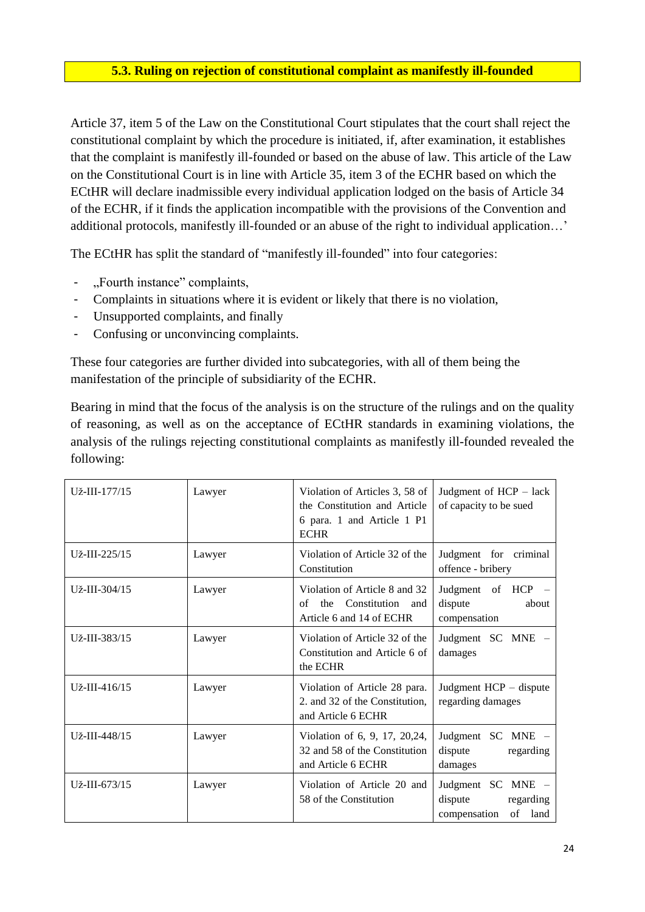# **5.3. Ruling on rejection of constitutional complaint as manifestly ill-founded**

Article 37, item 5 of the Law on the Constitutional Court stipulates that the court shall reject the constitutional complaint by which the procedure is initiated, if, after examination, it establishes that the complaint is manifestly ill-founded or based on the abuse of law. This article of the Law on the Constitutional Court is in line with Article 35, item 3 of the ECHR based on which the ECtHR will declare inadmissible every individual application lodged on the basis of Article 34 of the ECHR, if it finds the application incompatible with the provisions of the Convention and additional protocols, manifestly ill-founded or an abuse of the right to individual application…'

The ECtHR has split the standard of "manifestly ill-founded" into four categories:

- "Fourth instance" complaints,
- Complaints in situations where it is evident or likely that there is no violation,
- Unsupported complaints, and finally
- Confusing or unconvincing complaints.

These four categories are further divided into subcategories, with all of them being the manifestation of the principle of subsidiarity of the ECHR.

Bearing in mind that the focus of the analysis is on the structure of the rulings and on the quality of reasoning, as well as on the acceptance of ECtHR standards in examining violations, the analysis of the rulings rejecting constitutional complaints as manifestly ill-founded revealed the following:

| Už-III-177/15       | Lawyer | Violation of Articles 3, 58 of<br>the Constitution and Article<br>6 para. 1 and Article 1 P1<br><b>ECHR</b> | Judgment of HCP - lack<br>of capacity to be sued                        |
|---------------------|--------|-------------------------------------------------------------------------------------------------------------|-------------------------------------------------------------------------|
| Už-III-225/15       | Lawyer | Violation of Article 32 of the<br>Constitution                                                              | Judgment for criminal<br>offence - bribery                              |
| Už-III-304/15       | Lawyer | Violation of Article 8 and 32<br>Constitution<br>the<br>of<br>and<br>Article 6 and 14 of ECHR               | Judgment of HCP<br>dispute<br>about<br>compensation                     |
| Už-III-383/15       | Lawyer | Violation of Article 32 of the<br>Constitution and Article 6 of<br>the ECHR                                 | Judgment SC MNE -<br>damages                                            |
| $U_{Z}$ -III-416/15 | Lawyer | Violation of Article 28 para.<br>2. and 32 of the Constitution,<br>and Article 6 ECHR                       | Judgment HCP - dispute<br>regarding damages                             |
| Už-III-448/15       | Lawyer | Violation of 6, 9, 17, 20,24,<br>32 and 58 of the Constitution<br>and Article 6 ECHR                        | Judgment SC MNE -<br>dispute<br>regarding<br>damages                    |
| Už-III-673/15       | Lawyer | Violation of Article 20 and<br>58 of the Constitution                                                       | Judgment SC MNE -<br>dispute<br>regarding<br>of<br>land<br>compensation |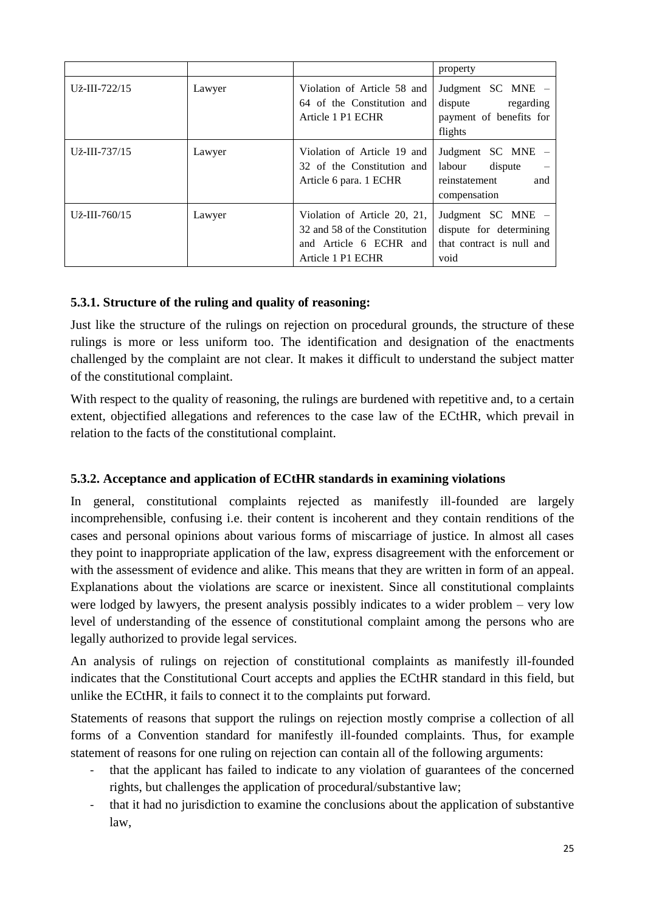|                     |        |                                                                                                              | property                                                                          |
|---------------------|--------|--------------------------------------------------------------------------------------------------------------|-----------------------------------------------------------------------------------|
| Už-III-722/15       | Lawyer | Violation of Article 58 and<br>64 of the Constitution and<br>Article 1 P1 ECHR                               | Judgment SC MNE –<br>dispute<br>regarding<br>payment of benefits for<br>flights   |
| $U_{Z}$ -III-737/15 | Lawyer | Violation of Article 19 and<br>32 of the Constitution and<br>Article 6 para. 1 ECHR                          | Judgment SC MNE<br>labour<br>dispute<br>reinstatement<br>and<br>compensation      |
| Už-III-760/15       | Lawyer | Violation of Article 20, 21,<br>32 and 58 of the Constitution<br>and Article 6 ECHR and<br>Article 1 P1 ECHR | Judgment SC MNE -<br>dispute for determining<br>that contract is null and<br>void |

# **5.3.1. Structure of the ruling and quality of reasoning:**

Just like the structure of the rulings on rejection on procedural grounds, the structure of these rulings is more or less uniform too. The identification and designation of the enactments challenged by the complaint are not clear. It makes it difficult to understand the subject matter of the constitutional complaint.

With respect to the quality of reasoning, the rulings are burdened with repetitive and, to a certain extent, objectified allegations and references to the case law of the ECtHR, which prevail in relation to the facts of the constitutional complaint.

# **5.3.2. Acceptance and application of ECtHR standards in examining violations**

In general, constitutional complaints rejected as manifestly ill-founded are largely incomprehensible, confusing i.e. their content is incoherent and they contain renditions of the cases and personal opinions about various forms of miscarriage of justice. In almost all cases they point to inappropriate application of the law, express disagreement with the enforcement or with the assessment of evidence and alike. This means that they are written in form of an appeal. Explanations about the violations are scarce or inexistent. Since all constitutional complaints were lodged by lawyers, the present analysis possibly indicates to a wider problem – very low level of understanding of the essence of constitutional complaint among the persons who are legally authorized to provide legal services.

An analysis of rulings on rejection of constitutional complaints as manifestly ill-founded indicates that the Constitutional Court accepts and applies the ECtHR standard in this field, but unlike the ECtHR, it fails to connect it to the complaints put forward.

Statements of reasons that support the rulings on rejection mostly comprise a collection of all forms of a Convention standard for manifestly ill-founded complaints. Thus, for example statement of reasons for one ruling on rejection can contain all of the following arguments:

- that the applicant has failed to indicate to any violation of guarantees of the concerned rights, but challenges the application of procedural/substantive law;
- that it had no jurisdiction to examine the conclusions about the application of substantive law,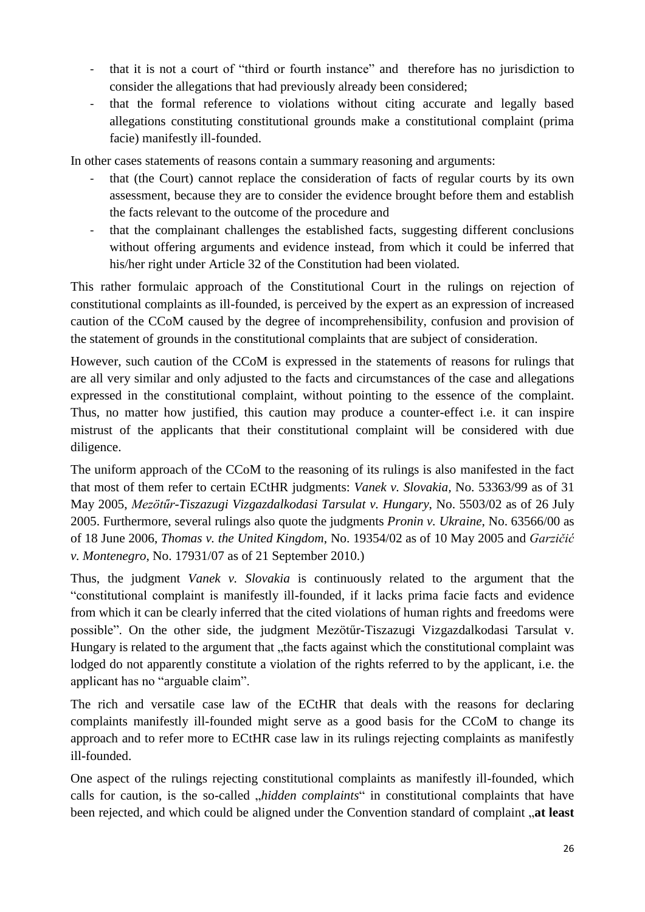- that it is not a court of "third or fourth instance" and therefore has no jurisdiction to consider the allegations that had previously already been considered;
- that the formal reference to violations without citing accurate and legally based allegations constituting constitutional grounds make a constitutional complaint (prima facie) manifestly ill-founded.

In other cases statements of reasons contain a summary reasoning and arguments:

- that (the Court) cannot replace the consideration of facts of regular courts by its own assessment, because they are to consider the evidence brought before them and establish the facts relevant to the outcome of the procedure and
- that the complainant challenges the established facts, suggesting different conclusions without offering arguments and evidence instead, from which it could be inferred that his/her right under Article 32 of the Constitution had been violated.

This rather formulaic approach of the Constitutional Court in the rulings on rejection of constitutional complaints as ill-founded, is perceived by the expert as an expression of increased caution of the CCoM caused by the degree of incomprehensibility, confusion and provision of the statement of grounds in the constitutional complaints that are subject of consideration.

However, such caution of the CCoM is expressed in the statements of reasons for rulings that are all very similar and only adjusted to the facts and circumstances of the case and allegations expressed in the constitutional complaint, without pointing to the essence of the complaint. Thus, no matter how justified, this caution may produce a counter-effect i.e. it can inspire mistrust of the applicants that their constitutional complaint will be considered with due diligence.

The uniform approach of the CCoM to the reasoning of its rulings is also manifested in the fact that most of them refer to certain ECtHR judgments: *Vanek v. Slovakia,* No. 53363/99 as of 31 May 2005, *Mezötűr-Tiszazugi Vizgazdalkodasi Tarsulat v. Hungary*, No. 5503/02 as of 26 July 2005. Furthermore, several rulings also quote the judgments *Pronin v. Ukraine*, No. 63566/00 as of 18 June 2006, *Thomas v. the United Kingdom*, No. 19354/02 as of 10 May 2005 and *Garzičić v. Montenegro*, No. 17931/07 as of 21 September 2010.)

Thus, the judgment *Vanek v. Slovakia* is continuously related to the argument that the "constitutional complaint is manifestly ill-founded, if it lacks prima facie facts and evidence from which it can be clearly inferred that the cited violations of human rights and freedoms were possible". On the other side, the judgment Mezötűr-Tiszazugi Vizgazdalkodasi Tarsulat v. Hungary is related to the argument that "the facts against which the constitutional complaint was lodged do not apparently constitute a violation of the rights referred to by the applicant, i.e. the applicant has no "arguable claim".

The rich and versatile case law of the ECtHR that deals with the reasons for declaring complaints manifestly ill-founded might serve as a good basis for the CCoM to change its approach and to refer more to ECtHR case law in its rulings rejecting complaints as manifestly ill-founded.

One aspect of the rulings rejecting constitutional complaints as manifestly ill-founded, which calls for caution, is the so-called *"hidden complaints*" in constitutional complaints that have been rejected, and which could be aligned under the Convention standard of complaint **at least**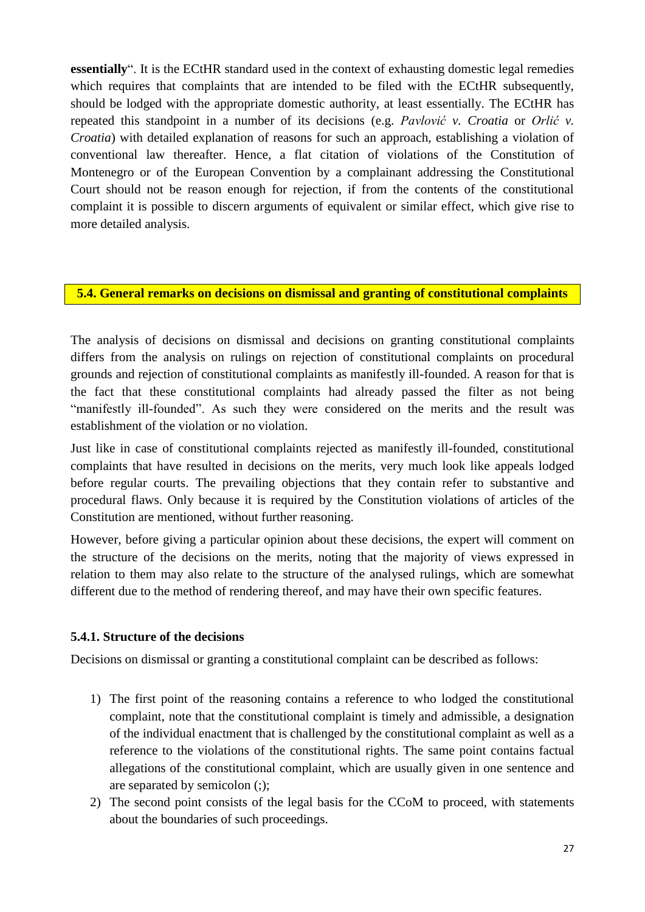**essentially**". It is the ECtHR standard used in the context of exhausting domestic legal remedies which requires that complaints that are intended to be filed with the ECtHR subsequently, should be lodged with the appropriate domestic authority, at least essentially. The ECtHR has repeated this standpoint in a number of its decisions (e.g. *Pavlović v. Croatia* or *Orlić v. Croatia*) with detailed explanation of reasons for such an approach, establishing a violation of conventional law thereafter. Hence, a flat citation of violations of the Constitution of Montenegro or of the European Convention by a complainant addressing the Constitutional Court should not be reason enough for rejection, if from the contents of the constitutional complaint it is possible to discern arguments of equivalent or similar effect, which give rise to more detailed analysis.

#### **5.4. General remarks on decisions on dismissal and granting of constitutional complaints**

The analysis of decisions on dismissal and decisions on granting constitutional complaints differs from the analysis on rulings on rejection of constitutional complaints on procedural grounds and rejection of constitutional complaints as manifestly ill-founded. A reason for that is the fact that these constitutional complaints had already passed the filter as not being "manifestly ill-founded". As such they were considered on the merits and the result was establishment of the violation or no violation.

Just like in case of constitutional complaints rejected as manifestly ill-founded, constitutional complaints that have resulted in decisions on the merits, very much look like appeals lodged before regular courts. The prevailing objections that they contain refer to substantive and procedural flaws. Only because it is required by the Constitution violations of articles of the Constitution are mentioned, without further reasoning.

However, before giving a particular opinion about these decisions, the expert will comment on the structure of the decisions on the merits, noting that the majority of views expressed in relation to them may also relate to the structure of the analysed rulings, which are somewhat different due to the method of rendering thereof, and may have their own specific features.

### **5.4.1. Structure of the decisions**

Decisions on dismissal or granting a constitutional complaint can be described as follows:

- 1) The first point of the reasoning contains a reference to who lodged the constitutional complaint, note that the constitutional complaint is timely and admissible, a designation of the individual enactment that is challenged by the constitutional complaint as well as a reference to the violations of the constitutional rights. The same point contains factual allegations of the constitutional complaint, which are usually given in one sentence and are separated by semicolon (;);
- 2) The second point consists of the legal basis for the CCoM to proceed, with statements about the boundaries of such proceedings.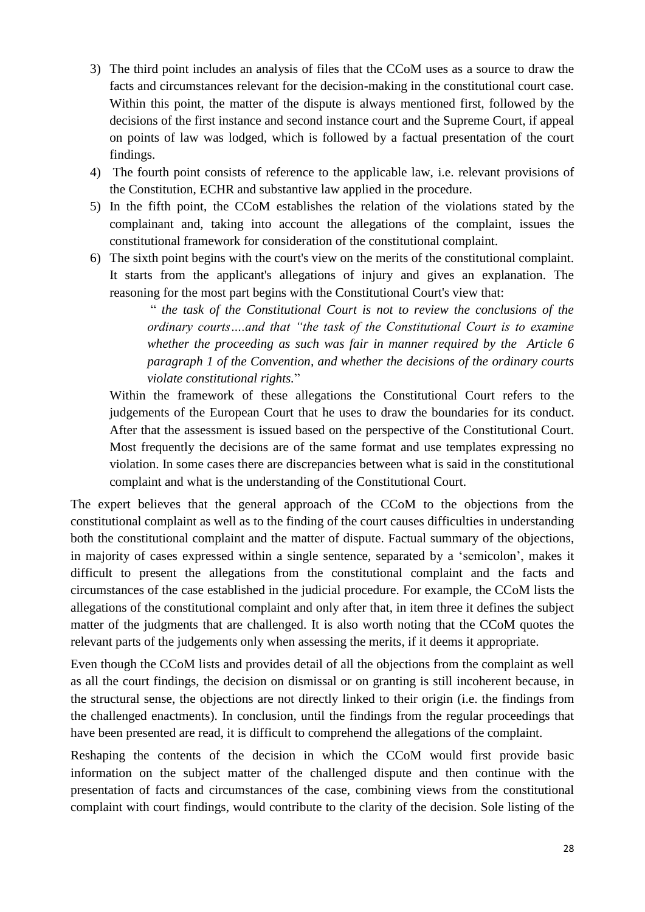- 3) The third point includes an analysis of files that the CCoM uses as a source to draw the facts and circumstances relevant for the decision-making in the constitutional court case. Within this point, the matter of the dispute is always mentioned first, followed by the decisions of the first instance and second instance court and the Supreme Court, if appeal on points of law was lodged, which is followed by a factual presentation of the court findings.
- 4) The fourth point consists of reference to the applicable law, i.e. relevant provisions of the Constitution, ECHR and substantive law applied in the procedure.
- 5) In the fifth point, the CCoM establishes the relation of the violations stated by the complainant and, taking into account the allegations of the complaint, issues the constitutional framework for consideration of the constitutional complaint.
- 6) The sixth point begins with the court's view on the merits of the constitutional complaint. It starts from the applicant's allegations of injury and gives an explanation. The reasoning for the most part begins with the Constitutional Court's view that:

" *the task of the Constitutional Court is not to review the conclusions of the ordinary courts….and that "the task of the Constitutional Court is to examine whether the proceeding as such was fair in manner required by the Article 6 paragraph 1 of the Convention, and whether the decisions of the ordinary courts violate constitutional rights.*"

Within the framework of these allegations the Constitutional Court refers to the judgements of the European Court that he uses to draw the boundaries for its conduct. After that the assessment is issued based on the perspective of the Constitutional Court. Most frequently the decisions are of the same format and use templates expressing no violation. In some cases there are discrepancies between what is said in the constitutional complaint and what is the understanding of the Constitutional Court.

The expert believes that the general approach of the CCoM to the objections from the constitutional complaint as well as to the finding of the court causes difficulties in understanding both the constitutional complaint and the matter of dispute. Factual summary of the objections, in majority of cases expressed within a single sentence, separated by a 'semicolon', makes it difficult to present the allegations from the constitutional complaint and the facts and circumstances of the case established in the judicial procedure. For example, the CCoM lists the allegations of the constitutional complaint and only after that, in item three it defines the subject matter of the judgments that are challenged. It is also worth noting that the CCoM quotes the relevant parts of the judgements only when assessing the merits, if it deems it appropriate.

Even though the CCoM lists and provides detail of all the objections from the complaint as well as all the court findings, the decision on dismissal or on granting is still incoherent because, in the structural sense, the objections are not directly linked to their origin (i.e. the findings from the challenged enactments). In conclusion, until the findings from the regular proceedings that have been presented are read, it is difficult to comprehend the allegations of the complaint.

Reshaping the contents of the decision in which the CCoM would first provide basic information on the subject matter of the challenged dispute and then continue with the presentation of facts and circumstances of the case, combining views from the constitutional complaint with court findings, would contribute to the clarity of the decision. Sole listing of the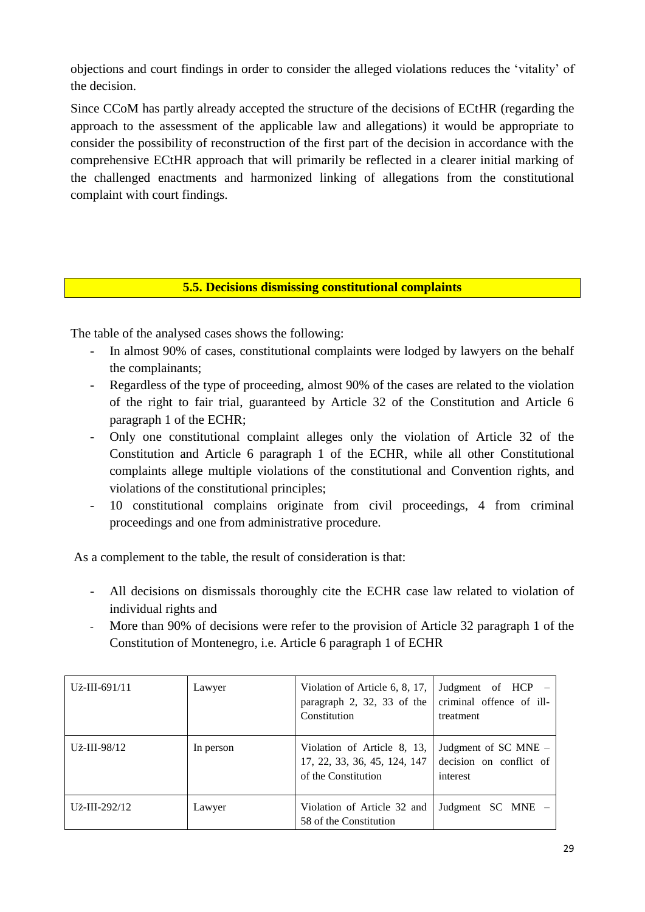objections and court findings in order to consider the alleged violations reduces the 'vitality' of the decision.

Since CCoM has partly already accepted the structure of the decisions of ECtHR (regarding the approach to the assessment of the applicable law and allegations) it would be appropriate to consider the possibility of reconstruction of the first part of the decision in accordance with the comprehensive ECtHR approach that will primarily be reflected in a clearer initial marking of the challenged enactments and harmonized linking of allegations from the constitutional complaint with court findings.

# **5.5. Decisions dismissing constitutional complaints**

The table of the analysed cases shows the following:

- In almost 90% of cases, constitutional complaints were lodged by lawyers on the behalf the complainants;
- Regardless of the type of proceeding, almost 90% of the cases are related to the violation of the right to fair trial, guaranteed by Article 32 of the Constitution and Article 6 paragraph 1 of the ECHR;
- Only one constitutional complaint alleges only the violation of Article 32 of the Constitution and Article 6 paragraph 1 of the ECHR, while all other Constitutional complaints allege multiple violations of the constitutional and Convention rights, and violations of the constitutional principles;
- 10 constitutional complains originate from civil proceedings, 4 from criminal proceedings and one from administrative procedure.

As a complement to the table, the result of consideration is that:

- All decisions on dismissals thoroughly cite the ECHR case law related to violation of individual rights and
- More than 90% of decisions were refer to the provision of Article 32 paragraph 1 of the Constitution of Montenegro, i.e. Article 6 paragraph 1 of ECHR

| $U_{Z}$ -III-691/11 | Lawyer    | Violation of Article 6, 8, 17,<br>paragraph 2, 32, 33 of the<br>Constitution       | Judgment of HCP –<br>criminal offence of ill-<br>treatment  |
|---------------------|-----------|------------------------------------------------------------------------------------|-------------------------------------------------------------|
| Už-III-98/12        | In person | Violation of Article 8, 13,<br>17, 22, 33, 36, 45, 124, 147<br>of the Constitution | Judgment of SC MNE –<br>decision on conflict of<br>interest |
| Už-III-292/12       | Lawyer    | Violation of Article 32 and<br>58 of the Constitution                              | Judgment SC MNE –                                           |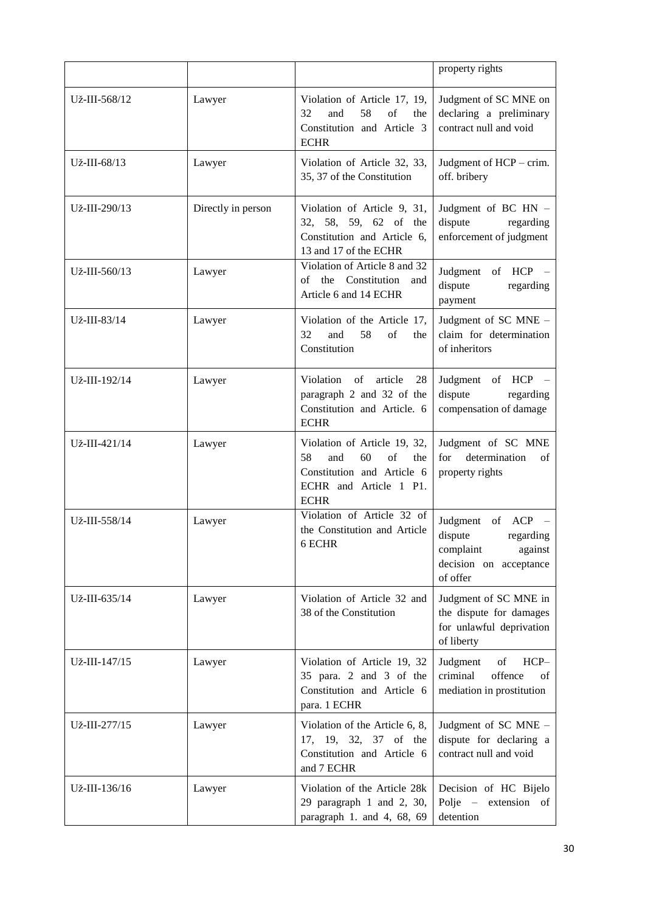|               |                    |                                                                                                                                     | property rights                                                                                             |
|---------------|--------------------|-------------------------------------------------------------------------------------------------------------------------------------|-------------------------------------------------------------------------------------------------------------|
| Už-III-568/12 | Lawyer             | Violation of Article 17, 19,<br>32<br>and<br>58<br>of<br>the<br>Constitution and Article 3<br><b>ECHR</b>                           | Judgment of SC MNE on<br>declaring a preliminary<br>contract null and void                                  |
| Už-III-68/13  | Lawyer             | Violation of Article 32, 33,<br>35, 37 of the Constitution                                                                          | Judgment of HCP - crim.<br>off. bribery                                                                     |
| Už-III-290/13 | Directly in person | Violation of Article 9, 31,<br>32, 58, 59, 62 of the<br>Constitution and Article 6,<br>13 and 17 of the ECHR                        | Judgment of BC HN -<br>dispute<br>regarding<br>enforcement of judgment                                      |
| Už-III-560/13 | Lawyer             | Violation of Article 8 and 32<br>the<br>Constitution<br>of<br>and<br>Article 6 and 14 ECHR                                          | Judgment of HCP -<br>dispute<br>regarding<br>payment                                                        |
| Už-III-83/14  | Lawyer             | Violation of the Article 17,<br>32<br>58<br>and<br>of<br>the<br>Constitution                                                        | Judgment of SC MNE -<br>claim for determination<br>of inheritors                                            |
| Už-III-192/14 | Lawyer             | Violation<br>of<br>article<br>28<br>paragraph 2 and 32 of the<br>Constitution and Article. 6<br><b>ECHR</b>                         | Judgment of HCP -<br>dispute<br>regarding<br>compensation of damage                                         |
| Už-III-421/14 | Lawyer             | Violation of Article 19, 32,<br>58<br>and<br>60<br>of<br>the<br>Constitution and Article 6<br>ECHR and Article 1 P1.<br><b>ECHR</b> | Judgment of SC MNE<br>determination<br>for<br>οf<br>property rights                                         |
| Už-III-558/14 | Lawyer             | Violation of Article 32 of<br>the Constitution and Article<br>6 ECHR                                                                | Judgment<br>of<br>ACP<br>dispute<br>regarding<br>complaint<br>against<br>decision on acceptance<br>of offer |
| Už-III-635/14 | Lawyer             | Violation of Article 32 and<br>38 of the Constitution                                                                               | Judgment of SC MNE in<br>the dispute for damages<br>for unlawful deprivation<br>of liberty                  |
| Už-III-147/15 | Lawyer             | Violation of Article 19, 32<br>35 para. 2 and 3 of the<br>Constitution and Article 6<br>para. 1 ECHR                                | Judgment<br>of<br>HCP-<br>offence<br>criminal<br>of<br>mediation in prostitution                            |
| Už-III-277/15 | Lawyer             | Violation of the Article 6, 8,<br>17, 19, 32, 37 of the<br>Constitution and Article 6<br>and 7 ECHR                                 | Judgment of SC MNE -<br>dispute for declaring a<br>contract null and void                                   |
| Už-III-136/16 | Lawyer             | Violation of the Article 28k<br>29 paragraph 1 and 2, 30,<br>paragraph 1. and 4, 68, 69                                             | Decision of HC Bijelo<br>Polje – extension of<br>detention                                                  |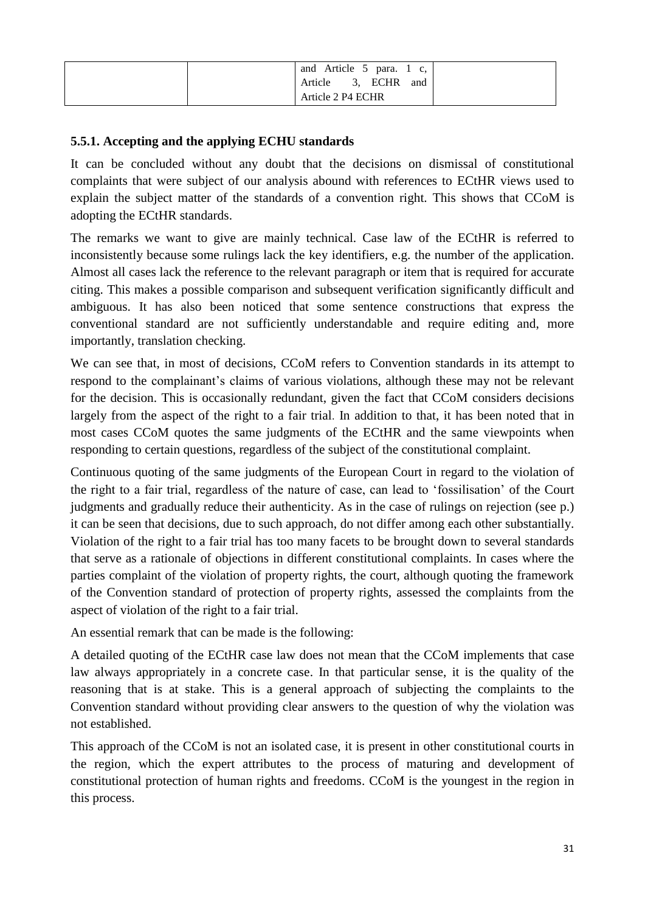| Article 5 para. 1 c,<br>and<br>Article 3, ECHR<br>and |  |
|-------------------------------------------------------|--|
| Article 2 P4 ECHR                                     |  |

# **5.5.1. Accepting and the applying ECHU standards**

It can be concluded without any doubt that the decisions on dismissal of constitutional complaints that were subject of our analysis abound with references to ECtHR views used to explain the subject matter of the standards of a convention right. This shows that CCoM is adopting the ECtHR standards.

The remarks we want to give are mainly technical. Case law of the ECtHR is referred to inconsistently because some rulings lack the key identifiers, e.g. the number of the application. Almost all cases lack the reference to the relevant paragraph or item that is required for accurate citing. This makes a possible comparison and subsequent verification significantly difficult and ambiguous. It has also been noticed that some sentence constructions that express the conventional standard are not sufficiently understandable and require editing and, more importantly, translation checking.

We can see that, in most of decisions, CCoM refers to Convention standards in its attempt to respond to the complainant's claims of various violations, although these may not be relevant for the decision. This is occasionally redundant, given the fact that CCoM considers decisions largely from the aspect of the right to a fair trial. In addition to that, it has been noted that in most cases CCoM quotes the same judgments of the ECtHR and the same viewpoints when responding to certain questions, regardless of the subject of the constitutional complaint.

Continuous quoting of the same judgments of the European Court in regard to the violation of the right to a fair trial, regardless of the nature of case, can lead to 'fossilisation' of the Court judgments and gradually reduce their authenticity. As in the case of rulings on rejection (see p.) it can be seen that decisions, due to such approach, do not differ among each other substantially. Violation of the right to a fair trial has too many facets to be brought down to several standards that serve as a rationale of objections in different constitutional complaints. In cases where the parties complaint of the violation of property rights, the court, although quoting the framework of the Convention standard of protection of property rights, assessed the complaints from the aspect of violation of the right to a fair trial.

An essential remark that can be made is the following:

A detailed quoting of the ECtHR case law does not mean that the CCoM implements that case law always appropriately in a concrete case. In that particular sense, it is the quality of the reasoning that is at stake. This is a general approach of subjecting the complaints to the Convention standard without providing clear answers to the question of why the violation was not established.

This approach of the CCoM is not an isolated case, it is present in other constitutional courts in the region, which the expert attributes to the process of maturing and development of constitutional protection of human rights and freedoms. CCoM is the youngest in the region in this process.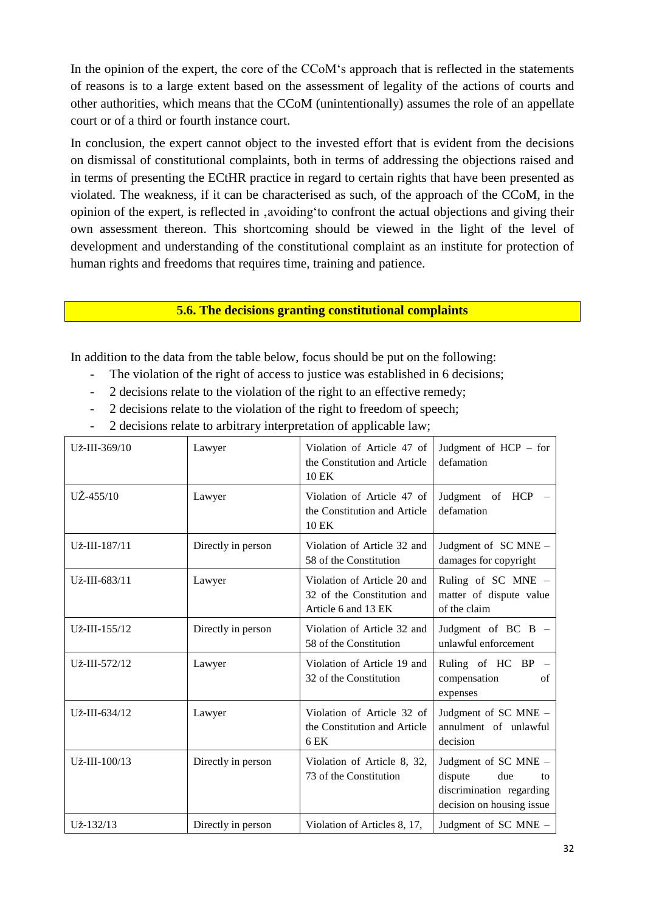In the opinion of the expert, the core of the CCoM's approach that is reflected in the statements of reasons is to a large extent based on the assessment of legality of the actions of courts and other authorities, which means that the CCoM (unintentionally) assumes the role of an appellate court or of a third or fourth instance court.

In conclusion, the expert cannot object to the invested effort that is evident from the decisions on dismissal of constitutional complaints, both in terms of addressing the objections raised and in terms of presenting the ECtHR practice in regard to certain rights that have been presented as violated. The weakness, if it can be characterised as such, of the approach of the CCoM, in the opinion of the expert, is reflected in 'avoiding'to confront the actual objections and giving their own assessment thereon. This shortcoming should be viewed in the light of the level of development and understanding of the constitutional complaint as an institute for protection of human rights and freedoms that requires time, training and patience.

**5.6. The decisions granting constitutional complaints**

In addition to the data from the table below, focus should be put on the following:

- The violation of the right of access to justice was established in 6 decisions;
- 2 decisions relate to the violation of the right to an effective remedy;
- 2 decisions relate to the violation of the right to freedom of speech;
- 2 decisions relate to arbitrary interpretation of applicable law;

| Už-III-369/10       | Lawyer             | Violation of Article 47 of<br>the Constitution and Article<br>10 EK              | Judgment of $HCP - for$<br>defamation                                                                 |
|---------------------|--------------------|----------------------------------------------------------------------------------|-------------------------------------------------------------------------------------------------------|
| $UZ - 455/10$       | Lawyer             | Violation of Article 47 of<br>the Constitution and Article<br>$10$ EK            | Judgment of HCP<br>defamation                                                                         |
| Už-III-187/11       | Directly in person | Violation of Article 32 and<br>58 of the Constitution                            | Judgment of SC MNE -<br>damages for copyright                                                         |
| Už-III-683/11       | Lawyer             | Violation of Article 20 and<br>32 of the Constitution and<br>Article 6 and 13 EK | Ruling of SC MNE -<br>matter of dispute value<br>of the claim                                         |
| $U_{Z}$ -III-155/12 | Directly in person | Violation of Article 32 and<br>58 of the Constitution                            | Judgment of BC B -<br>unlawful enforcement                                                            |
| Už-III-572/12       | Lawyer             | Violation of Article 19 and<br>32 of the Constitution                            | Ruling of HC BP<br>compensation<br>of<br>expenses                                                     |
| Už-III-634/12       | Lawyer             | Violation of Article 32 of<br>the Constitution and Article<br>6 EK               | Judgment of SC MNE -<br>annulment of unlawful<br>decision                                             |
| Už-III-100/13       | Directly in person | Violation of Article 8, 32,<br>73 of the Constitution                            | Judgment of SC MNE -<br>dispute<br>due<br>to<br>discrimination regarding<br>decision on housing issue |
| Už-132/13           | Directly in person | Violation of Articles 8, 17,                                                     | Judgment of SC MNE -                                                                                  |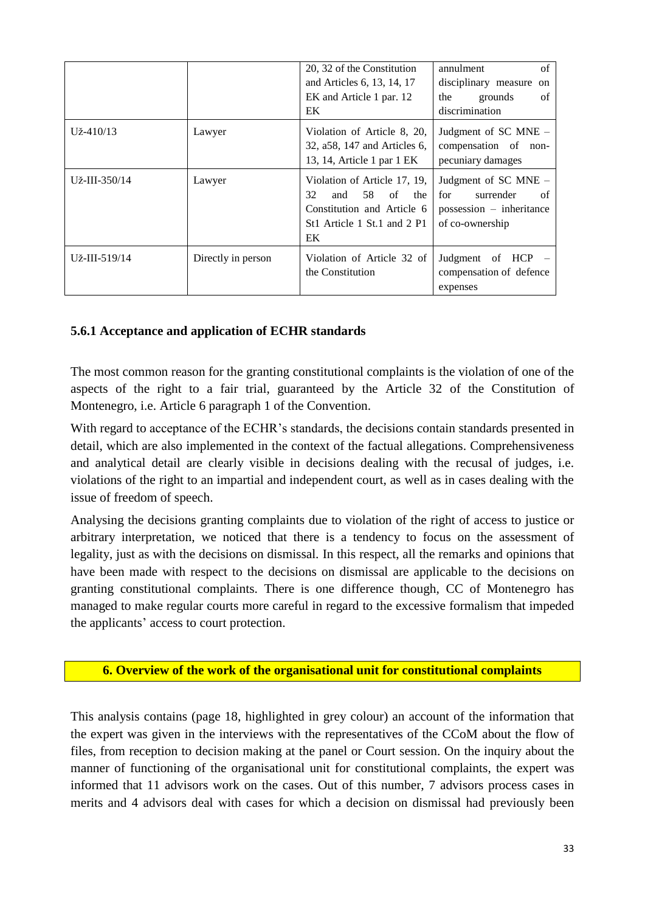|                    |                    | 20, 32 of the Constitution<br>and Articles 6, 13, 14, 17<br>EK and Article 1 par. 12<br>EK                                      | annulment<br>of<br>disciplinary measure on<br>grounds<br>the<br>of<br>discrimination            |
|--------------------|--------------------|---------------------------------------------------------------------------------------------------------------------------------|-------------------------------------------------------------------------------------------------|
| $U_{Z}^2 - 410/13$ | Lawyer             | Violation of Article 8, 20,<br>32, a58, 147 and Articles 6,<br>13, 14, Article 1 par 1 EK                                       | Judgment of SC MNE –<br>compensation of<br>non-<br>pecuniary damages                            |
| Už-III-350/14      | Lawyer             | Violation of Article 17, 19,<br>32<br>58<br>of<br>and<br>the<br>Constitution and Article 6<br>St1 Article 1 St.1 and 2 P1<br>EK | Judgment of SC MNE -<br>for<br>surrender<br>of<br>$possession$ – inheritance<br>of co-ownership |
| Už-III-519/14      | Directly in person | Violation of Article 32 of<br>the Constitution                                                                                  | Judgment of HCP<br>compensation of defence<br>expenses                                          |

# **5.6.1 Acceptance and application of ECHR standards**

The most common reason for the granting constitutional complaints is the violation of one of the aspects of the right to a fair trial, guaranteed by the Article 32 of the Constitution of Montenegro, i.e. Article 6 paragraph 1 of the Convention.

With regard to acceptance of the ECHR's standards, the decisions contain standards presented in detail, which are also implemented in the context of the factual allegations. Comprehensiveness and analytical detail are clearly visible in decisions dealing with the recusal of judges, i.e. violations of the right to an impartial and independent court, as well as in cases dealing with the issue of freedom of speech.

Analysing the decisions granting complaints due to violation of the right of access to justice or arbitrary interpretation, we noticed that there is a tendency to focus on the assessment of legality, just as with the decisions on dismissal. In this respect, all the remarks and opinions that have been made with respect to the decisions on dismissal are applicable to the decisions on granting constitutional complaints. There is one difference though, CC of Montenegro has managed to make regular courts more careful in regard to the excessive formalism that impeded the applicants' access to court protection.

### **6. Overview of the work of the organisational unit for constitutional complaints**

This analysis contains (page 18, highlighted in grey colour) an account of the information that the expert was given in the interviews with the representatives of the CCoM about the flow of files, from reception to decision making at the panel or Court session. On the inquiry about the manner of functioning of the organisational unit for constitutional complaints, the expert was informed that 11 advisors work on the cases. Out of this number, 7 advisors process cases in merits and 4 advisors deal with cases for which a decision on dismissal had previously been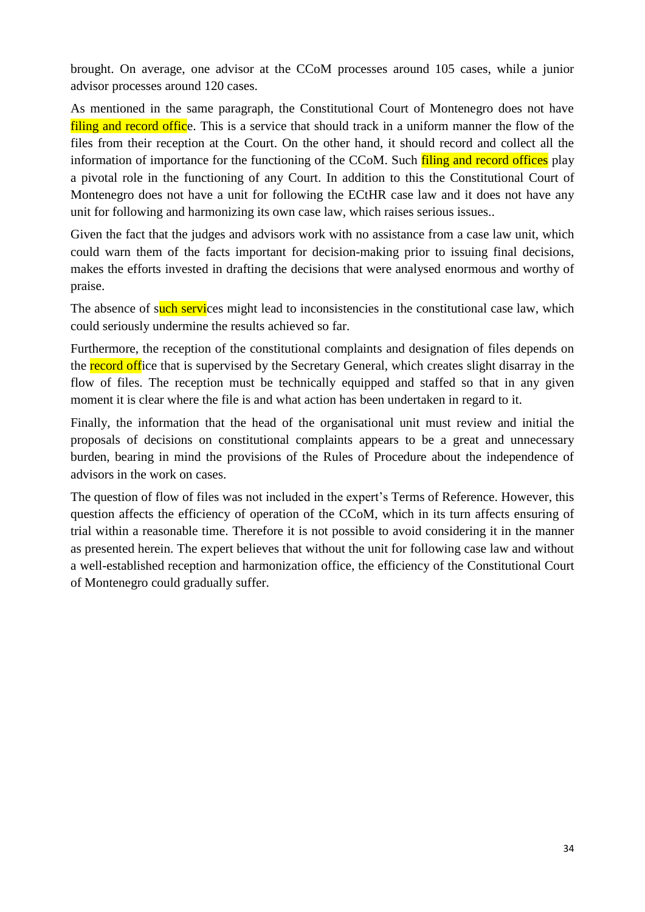brought. On average, one advisor at the CCoM processes around 105 cases, while a junior advisor processes around 120 cases.

As mentioned in the same paragraph, the Constitutional Court of Montenegro does not have filing and record office. This is a service that should track in a uniform manner the flow of the files from their reception at the Court. On the other hand, it should record and collect all the information of importance for the functioning of the CCoM. Such filing and record offices play a pivotal role in the functioning of any Court. In addition to this the Constitutional Court of Montenegro does not have a unit for following the ECtHR case law and it does not have any unit for following and harmonizing its own case law, which raises serious issues..

Given the fact that the judges and advisors work with no assistance from a case law unit, which could warn them of the facts important for decision-making prior to issuing final decisions, makes the efforts invested in drafting the decisions that were analysed enormous and worthy of praise.

The absence of such services might lead to inconsistencies in the constitutional case law, which could seriously undermine the results achieved so far.

Furthermore, the reception of the constitutional complaints and designation of files depends on the record office that is supervised by the Secretary General, which creates slight disarray in the flow of files. The reception must be technically equipped and staffed so that in any given moment it is clear where the file is and what action has been undertaken in regard to it.

Finally, the information that the head of the organisational unit must review and initial the proposals of decisions on constitutional complaints appears to be a great and unnecessary burden, bearing in mind the provisions of the Rules of Procedure about the independence of advisors in the work on cases.

The question of flow of files was not included in the expert's Terms of Reference. However, this question affects the efficiency of operation of the CCoM, which in its turn affects ensuring of trial within a reasonable time. Therefore it is not possible to avoid considering it in the manner as presented herein. The expert believes that without the unit for following case law and without a well-established reception and harmonization office, the efficiency of the Constitutional Court of Montenegro could gradually suffer.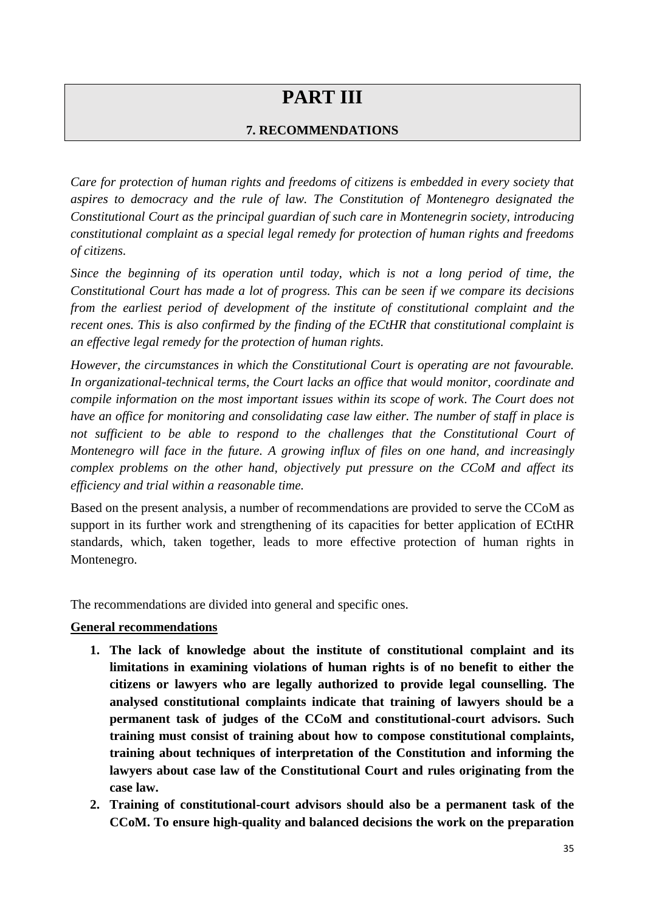# **PART III**

# **7. RECOMMENDATIONS**

*Care for protection of human rights and freedoms of citizens is embedded in every society that aspires to democracy and the rule of law. The Constitution of Montenegro designated the Constitutional Court as the principal guardian of such care in Montenegrin society, introducing constitutional complaint as a special legal remedy for protection of human rights and freedoms of citizens.*

*Since the beginning of its operation until today, which is not a long period of time, the Constitutional Court has made a lot of progress. This can be seen if we compare its decisions from the earliest period of development of the institute of constitutional complaint and the recent ones. This is also confirmed by the finding of the ECtHR that constitutional complaint is an effective legal remedy for the protection of human rights.*

*However, the circumstances in which the Constitutional Court is operating are not favourable. In organizational-technical terms, the Court lacks an office that would monitor, coordinate and compile information on the most important issues within its scope of work. The Court does not have an office for monitoring and consolidating case law either. The number of staff in place is not sufficient to be able to respond to the challenges that the Constitutional Court of Montenegro will face in the future. A growing influx of files on one hand, and increasingly complex problems on the other hand, objectively put pressure on the CCoM and affect its efficiency and trial within a reasonable time.* 

Based on the present analysis, a number of recommendations are provided to serve the CCoM as support in its further work and strengthening of its capacities for better application of ECtHR standards, which, taken together, leads to more effective protection of human rights in Montenegro.

The recommendations are divided into general and specific ones.

### **General recommendations**

- **1. The lack of knowledge about the institute of constitutional complaint and its limitations in examining violations of human rights is of no benefit to either the citizens or lawyers who are legally authorized to provide legal counselling. The analysed constitutional complaints indicate that training of lawyers should be a permanent task of judges of the CCoM and constitutional-court advisors. Such training must consist of training about how to compose constitutional complaints, training about techniques of interpretation of the Constitution and informing the lawyers about case law of the Constitutional Court and rules originating from the case law.**
- **2. Training of constitutional-court advisors should also be a permanent task of the CCoM. To ensure high-quality and balanced decisions the work on the preparation**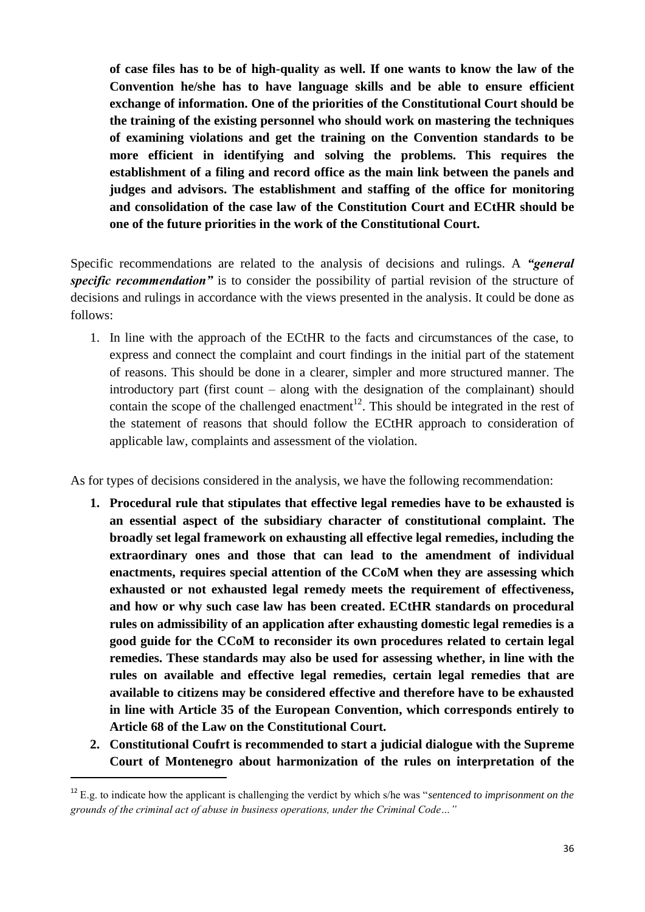**of case files has to be of high-quality as well. If one wants to know the law of the Convention he/she has to have language skills and be able to ensure efficient exchange of information. One of the priorities of the Constitutional Court should be the training of the existing personnel who should work on mastering the techniques of examining violations and get the training on the Convention standards to be more efficient in identifying and solving the problems. This requires the establishment of a filing and record office as the main link between the panels and judges and advisors. The establishment and staffing of the office for monitoring and consolidation of the case law of the Constitution Court and ECtHR should be one of the future priorities in the work of the Constitutional Court.** 

Specific recommendations are related to the analysis of decisions and rulings. A *"general specific recommendation"* is to consider the possibility of partial revision of the structure of decisions and rulings in accordance with the views presented in the analysis. It could be done as follows:

1. In line with the approach of the ECtHR to the facts and circumstances of the case, to express and connect the complaint and court findings in the initial part of the statement of reasons. This should be done in a clearer, simpler and more structured manner. The introductory part (first count – along with the designation of the complainant) should contain the scope of the challenged enactment<sup>12</sup>. This should be integrated in the rest of the statement of reasons that should follow the ECtHR approach to consideration of applicable law, complaints and assessment of the violation.

As for types of decisions considered in the analysis, we have the following recommendation:

- **1. Procedural rule that stipulates that effective legal remedies have to be exhausted is an essential aspect of the subsidiary character of constitutional complaint. The broadly set legal framework on exhausting all effective legal remedies, including the extraordinary ones and those that can lead to the amendment of individual enactments, requires special attention of the CCoM when they are assessing which exhausted or not exhausted legal remedy meets the requirement of effectiveness, and how or why such case law has been created. ECtHR standards on procedural rules on admissibility of an application after exhausting domestic legal remedies is a good guide for the CCoM to reconsider its own procedures related to certain legal remedies. These standards may also be used for assessing whether, in line with the rules on available and effective legal remedies, certain legal remedies that are available to citizens may be considered effective and therefore have to be exhausted in line with Article 35 of the European Convention, which corresponds entirely to Article 68 of the Law on the Constitutional Court.**
- **2. Constitutional Coufrt is recommended to start a judicial dialogue with the Supreme Court of Montenegro about harmonization of the rules on interpretation of the**

 $\overline{a}$ 

<sup>12</sup> E.g. to indicate how the applicant is challenging the verdict by which s/he was "*sentenced to imprisonment on the grounds of the criminal act of abuse in business operations, under the Criminal Code…"*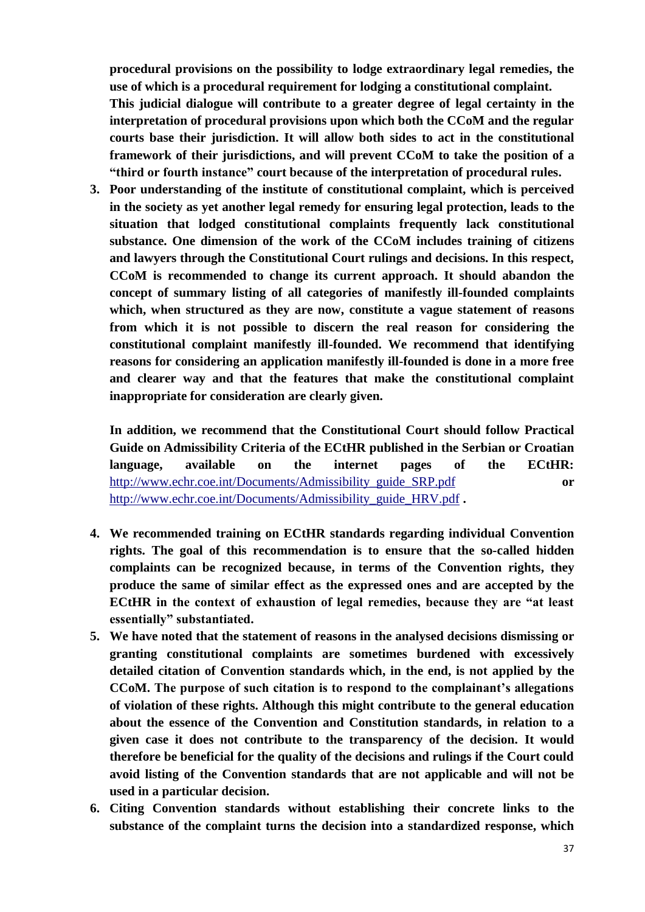**procedural provisions on the possibility to lodge extraordinary legal remedies, the use of which is a procedural requirement for lodging a constitutional complaint. This judicial dialogue will contribute to a greater degree of legal certainty in the interpretation of procedural provisions upon which both the CCoM and the regular courts base their jurisdiction. It will allow both sides to act in the constitutional framework of their jurisdictions, and will prevent CCoM to take the position of a "third or fourth instance" court because of the interpretation of procedural rules.**

**3. Poor understanding of the institute of constitutional complaint, which is perceived in the society as yet another legal remedy for ensuring legal protection, leads to the situation that lodged constitutional complaints frequently lack constitutional substance. One dimension of the work of the CCoM includes training of citizens and lawyers through the Constitutional Court rulings and decisions. In this respect, CCoM is recommended to change its current approach. It should abandon the concept of summary listing of all categories of manifestly ill-founded complaints which, when structured as they are now, constitute a vague statement of reasons from which it is not possible to discern the real reason for considering the constitutional complaint manifestly ill-founded. We recommend that identifying reasons for considering an application manifestly ill-founded is done in a more free and clearer way and that the features that make the constitutional complaint inappropriate for consideration are clearly given.** 

**In addition, we recommend that the Constitutional Court should follow Practical Guide on Admissibility Criteria of the ECtHR published in the Serbian or Croatian language, available on the internet pages of the ECtHR:** [http://www.echr.coe.int/Documents/Admissibility\\_guide\\_SRP.pdf](http://www.echr.coe.int/Documents/Admissibility_guide_SRP.pdf) **or** [http://www.echr.coe.int/Documents/Admissibility\\_guide\\_HRV.pdf](http://www.echr.coe.int/Documents/Admissibility_guide_HRV.pdf) **.**

- **4. We recommended training on ECtHR standards regarding individual Convention rights. The goal of this recommendation is to ensure that the so-called hidden complaints can be recognized because, in terms of the Convention rights, they produce the same of similar effect as the expressed ones and are accepted by the ECtHR in the context of exhaustion of legal remedies, because they are "at least essentially" substantiated.**
- **5. We have noted that the statement of reasons in the analysed decisions dismissing or granting constitutional complaints are sometimes burdened with excessively detailed citation of Convention standards which, in the end, is not applied by the CCoM. The purpose of such citation is to respond to the complainant's allegations of violation of these rights. Although this might contribute to the general education about the essence of the Convention and Constitution standards, in relation to a given case it does not contribute to the transparency of the decision. It would therefore be beneficial for the quality of the decisions and rulings if the Court could avoid listing of the Convention standards that are not applicable and will not be used in a particular decision.**
- **6. Citing Convention standards without establishing their concrete links to the substance of the complaint turns the decision into a standardized response, which**